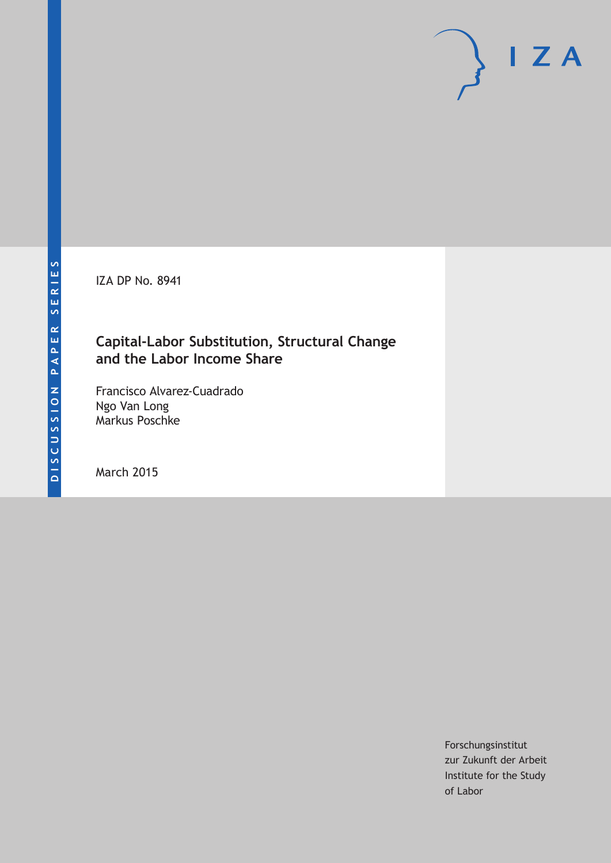IZA DP No. 8941

## **Capital-Labor Substitution, Structural Change and the Labor Income Share**

Francisco Alvarez-Cuadrado Ngo Van Long Markus Poschke

March 2015

Forschungsinstitut zur Zukunft der Arbeit Institute for the Study of Labor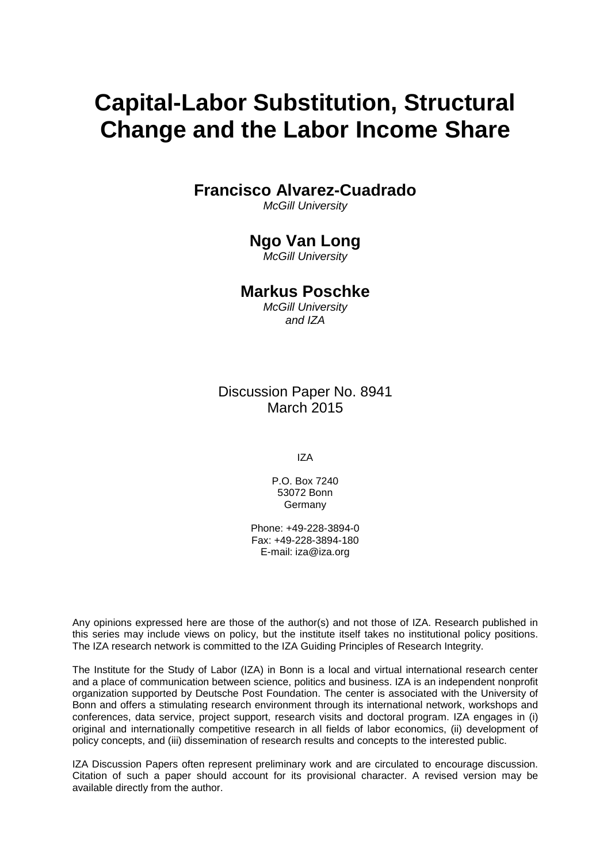# **Capital-Labor Substitution, Structural Change and the Labor Income Share**

**Francisco Alvarez-Cuadrado**

*McGill University*

# **Ngo Van Long**

*McGill University*

## **Markus Poschke**

*McGill University and IZA*

Discussion Paper No. 8941 March 2015

IZA

P.O. Box 7240 53072 Bonn **Germany** 

Phone: +49-228-3894-0 Fax: +49-228-3894-180 E-mail: iza@iza.org

Any opinions expressed here are those of the author(s) and not those of IZA. Research published in this series may include views on policy, but the institute itself takes no institutional policy positions. The IZA research network is committed to the IZA Guiding Principles of Research Integrity.

The Institute for the Study of Labor (IZA) in Bonn is a local and virtual international research center and a place of communication between science, politics and business. IZA is an independent nonprofit organization supported by Deutsche Post Foundation. The center is associated with the University of Bonn and offers a stimulating research environment through its international network, workshops and conferences, data service, project support, research visits and doctoral program. IZA engages in (i) original and internationally competitive research in all fields of labor economics, (ii) development of policy concepts, and (iii) dissemination of research results and concepts to the interested public.

<span id="page-1-0"></span>IZA Discussion Papers often represent preliminary work and are circulated to encourage discussion. Citation of such a paper should account for its provisional character. A revised version may be available directly from the author.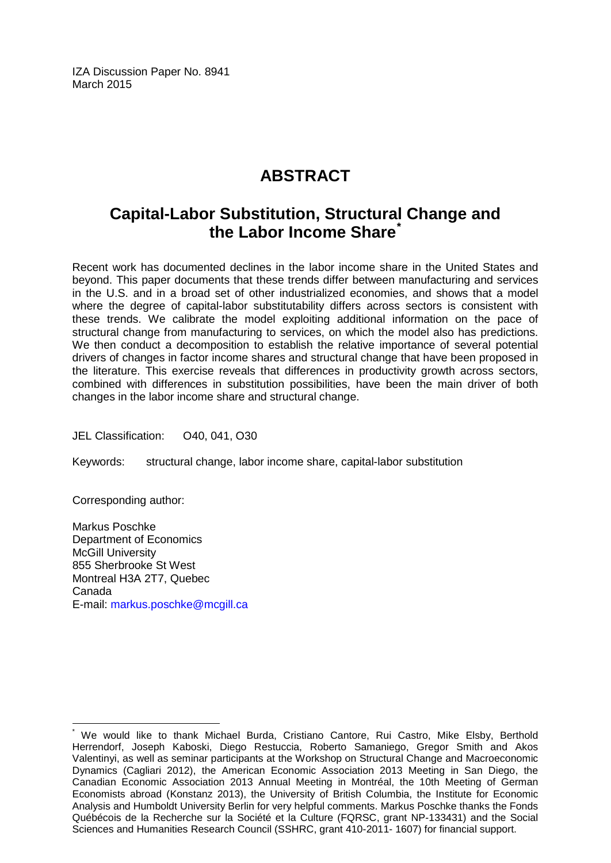IZA Discussion Paper No. 8941 March 2015

# **ABSTRACT**

# **Capital-Labor Substitution, Structural Change and the Labor Income Share[\\*](#page-1-0)**

Recent work has documented declines in the labor income share in the United States and beyond. This paper documents that these trends differ between manufacturing and services in the U.S. and in a broad set of other industrialized economies, and shows that a model where the degree of capital-labor substitutability differs across sectors is consistent with these trends. We calibrate the model exploiting additional information on the pace of structural change from manufacturing to services, on which the model also has predictions. We then conduct a decomposition to establish the relative importance of several potential drivers of changes in factor income shares and structural change that have been proposed in the literature. This exercise reveals that differences in productivity growth across sectors, combined with differences in substitution possibilities, have been the main driver of both changes in the labor income share and structural change.

JEL Classification: O40, 041, O30

Keywords: structural change, labor income share, capital-labor substitution

Corresponding author:

Markus Poschke Department of Economics McGill University 855 Sherbrooke St West Montreal H3A 2T7, Quebec Canada E-mail: [markus.poschke@mcgill.ca](mailto:markus.poschke@mcgill.ca)

We would like to thank Michael Burda, Cristiano Cantore, Rui Castro, Mike Elsby, Berthold Herrendorf, Joseph Kaboski, Diego Restuccia, Roberto Samaniego, Gregor Smith and Akos Valentinyi, as well as seminar participants at the Workshop on Structural Change and Macroeconomic Dynamics (Cagliari 2012), the American Economic Association 2013 Meeting in San Diego, the Canadian Economic Association 2013 Annual Meeting in Montréal, the 10th Meeting of German Economists abroad (Konstanz 2013), the University of British Columbia, the Institute for Economic Analysis and Humboldt University Berlin for very helpful comments. Markus Poschke thanks the Fonds Québécois de la Recherche sur la Société et la Culture (FQRSC, grant NP-133431) and the Social Sciences and Humanities Research Council (SSHRC, grant 410-2011- 1607) for financial support.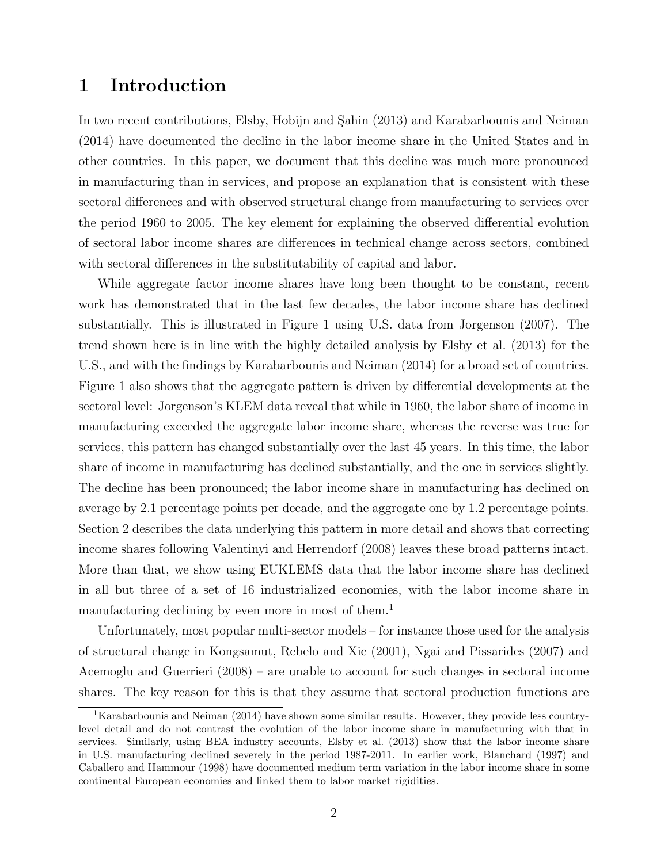## 1 Introduction

In two recent contributions, Elsby, Hobijn and Sahin (2013) and Karabarbounis and Neiman (2014) have documented the decline in the labor income share in the United States and in other countries. In this paper, we document that this decline was much more pronounced in manufacturing than in services, and propose an explanation that is consistent with these sectoral differences and with observed structural change from manufacturing to services over the period 1960 to 2005. The key element for explaining the observed differential evolution of sectoral labor income shares are differences in technical change across sectors, combined with sectoral differences in the substitutability of capital and labor.

While aggregate factor income shares have long been thought to be constant, recent work has demonstrated that in the last few decades, the labor income share has declined substantially. This is illustrated in Figure 1 using U.S. data from Jorgenson (2007). The trend shown here is in line with the highly detailed analysis by Elsby et al. (2013) for the U.S., and with the findings by Karabarbounis and Neiman (2014) for a broad set of countries. Figure 1 also shows that the aggregate pattern is driven by differential developments at the sectoral level: Jorgenson's KLEM data reveal that while in 1960, the labor share of income in manufacturing exceeded the aggregate labor income share, whereas the reverse was true for services, this pattern has changed substantially over the last 45 years. In this time, the labor share of income in manufacturing has declined substantially, and the one in services slightly. The decline has been pronounced; the labor income share in manufacturing has declined on average by 2.1 percentage points per decade, and the aggregate one by 1.2 percentage points. Section 2 describes the data underlying this pattern in more detail and shows that correcting income shares following Valentinyi and Herrendorf (2008) leaves these broad patterns intact. More than that, we show using EUKLEMS data that the labor income share has declined in all but three of a set of 16 industrialized economies, with the labor income share in manufacturing declining by even more in most of them.<sup>1</sup>

Unfortunately, most popular multi-sector models – for instance those used for the analysis of structural change in Kongsamut, Rebelo and Xie (2001), Ngai and Pissarides (2007) and Acemoglu and Guerrieri (2008) – are unable to account for such changes in sectoral income shares. The key reason for this is that they assume that sectoral production functions are

<sup>&</sup>lt;sup>1</sup>Karabarbounis and Neiman (2014) have shown some similar results. However, they provide less countrylevel detail and do not contrast the evolution of the labor income share in manufacturing with that in services. Similarly, using BEA industry accounts, Elsby et al. (2013) show that the labor income share in U.S. manufacturing declined severely in the period 1987-2011. In earlier work, Blanchard (1997) and Caballero and Hammour (1998) have documented medium term variation in the labor income share in some continental European economies and linked them to labor market rigidities.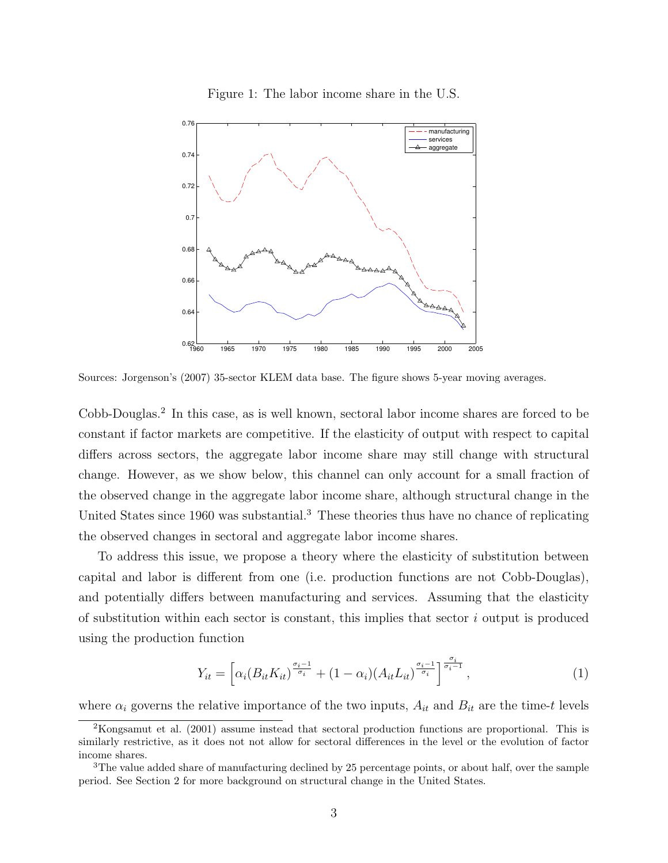

Figure 1: The labor income share in the U.S.

Sources: Jorgenson's (2007) 35-sector KLEM data base. The figure shows 5-year moving averages.

Cobb-Douglas.<sup>2</sup> In this case, as is well known, sectoral labor income shares are forced to be constant if factor markets are competitive. If the elasticity of output with respect to capital differs across sectors, the aggregate labor income share may still change with structural change. However, as we show below, this channel can only account for a small fraction of the observed change in the aggregate labor income share, although structural change in the United States since 1960 was substantial.<sup>3</sup> These theories thus have no chance of replicating the observed changes in sectoral and aggregate labor income shares.

To address this issue, we propose a theory where the elasticity of substitution between capital and labor is different from one (i.e. production functions are not Cobb-Douglas), and potentially differs between manufacturing and services. Assuming that the elasticity of substitution within each sector is constant, this implies that sector  $i$  output is produced using the production function

$$
Y_{it} = \left[ \alpha_i (B_{it} K_{it})^{\frac{\sigma_i - 1}{\sigma_i}} + (1 - \alpha_i) (A_{it} L_{it})^{\frac{\sigma_i - 1}{\sigma_i}} \right]^{\frac{\sigma_i}{\sigma_i - 1}},\tag{1}
$$

where  $\alpha_i$  governs the relative importance of the two inputs,  $A_{it}$  and  $B_{it}$  are the time-t levels

<sup>2</sup>Kongsamut et al. (2001) assume instead that sectoral production functions are proportional. This is similarly restrictive, as it does not not allow for sectoral differences in the level or the evolution of factor income shares.

<sup>&</sup>lt;sup>3</sup>The value added share of manufacturing declined by 25 percentage points, or about half, over the sample period. See Section 2 for more background on structural change in the United States.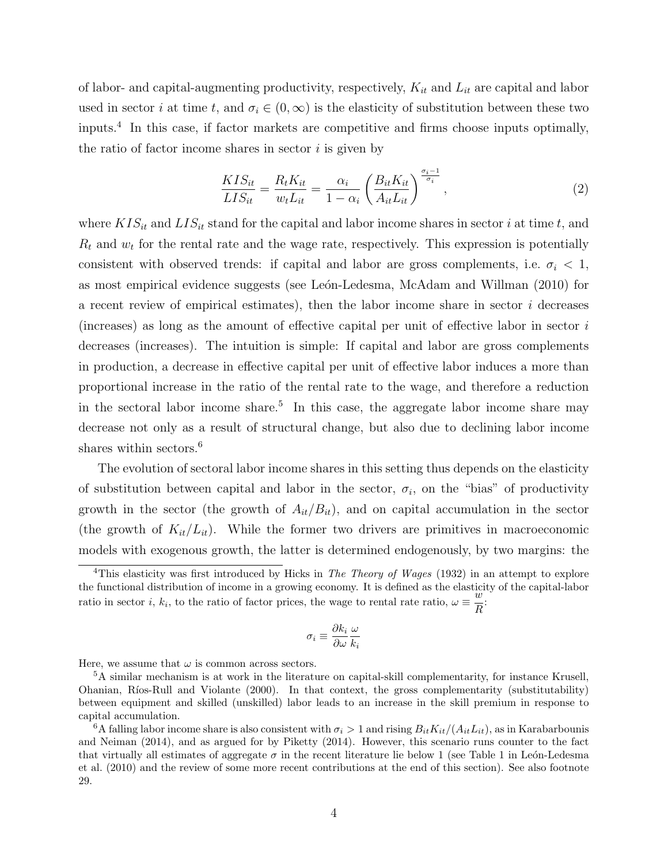of labor- and capital-augmenting productivity, respectively,  $K_{it}$  and  $L_{it}$  are capital and labor used in sector i at time t, and  $\sigma_i \in (0,\infty)$  is the elasticity of substitution between these two inputs.<sup>4</sup> In this case, if factor markets are competitive and firms choose inputs optimally, the ratio of factor income shares in sector  $i$  is given by

$$
\frac{KIS_{it}}{LIS_{it}} = \frac{R_t K_{it}}{w_t L_{it}} = \frac{\alpha_i}{1 - \alpha_i} \left( \frac{B_{it} K_{it}}{A_{it} L_{it}} \right)^{\frac{\sigma_i - 1}{\sigma_i}},\tag{2}
$$

where  $KIS_{it}$  and  $LIS_{it}$  stand for the capital and labor income shares in sector i at time t, and  $R_t$  and  $w_t$  for the rental rate and the wage rate, respectively. This expression is potentially consistent with observed trends: if capital and labor are gross complements, i.e.  $\sigma_i < 1$ , as most empirical evidence suggests (see León-Ledesma, McAdam and Willman (2010) for a recent review of empirical estimates), then the labor income share in sector i decreases (increases) as long as the amount of effective capital per unit of effective labor in sector  $i$ decreases (increases). The intuition is simple: If capital and labor are gross complements in production, a decrease in effective capital per unit of effective labor induces a more than proportional increase in the ratio of the rental rate to the wage, and therefore a reduction in the sectoral labor income share.<sup>5</sup> In this case, the aggregate labor income share may decrease not only as a result of structural change, but also due to declining labor income shares within sectors.<sup>6</sup>

The evolution of sectoral labor income shares in this setting thus depends on the elasticity of substitution between capital and labor in the sector,  $\sigma_i$ , on the "bias" of productivity growth in the sector (the growth of  $A_{it}/B_{it}$ ), and on capital accumulation in the sector (the growth of  $K_{it}/L_{it}$ ). While the former two drivers are primitives in macroeconomic models with exogenous growth, the latter is determined endogenously, by two margins: the

$$
\sigma_i \equiv \frac{\partial k_i}{\partial \omega} \frac{\omega}{k_i}
$$

Here, we assume that  $\omega$  is common across sectors.

<sup>&</sup>lt;sup>4</sup>This elasticity was first introduced by Hicks in *The Theory of Wages* (1932) in an attempt to explore the functional distribution of income in a growing economy. It is defined as the elasticity of the capital-labor ratio in sector *i*,  $k_i$ , to the ratio of factor prices, the wage to rental rate ratio,  $\omega \equiv \frac{w}{R}$  $\frac{a}{R}$ 

<sup>5</sup>A similar mechanism is at work in the literature on capital-skill complementarity, for instance Krusell, Ohanian, Ríos-Rull and Violante (2000). In that context, the gross complementarity (substitutability) between equipment and skilled (unskilled) labor leads to an increase in the skill premium in response to capital accumulation.

<sup>&</sup>lt;sup>6</sup>A falling labor income share is also consistent with  $\sigma_i > 1$  and rising  $B_{it}K_{it}/(A_{it}L_{it})$ , as in Karabarbounis and Neiman (2014), and as argued for by Piketty (2014). However, this scenario runs counter to the fact that virtually all estimates of aggregate  $\sigma$  in the recent literature lie below 1 (see Table 1 in León-Ledesma et al. (2010) and the review of some more recent contributions at the end of this section). See also footnote 29.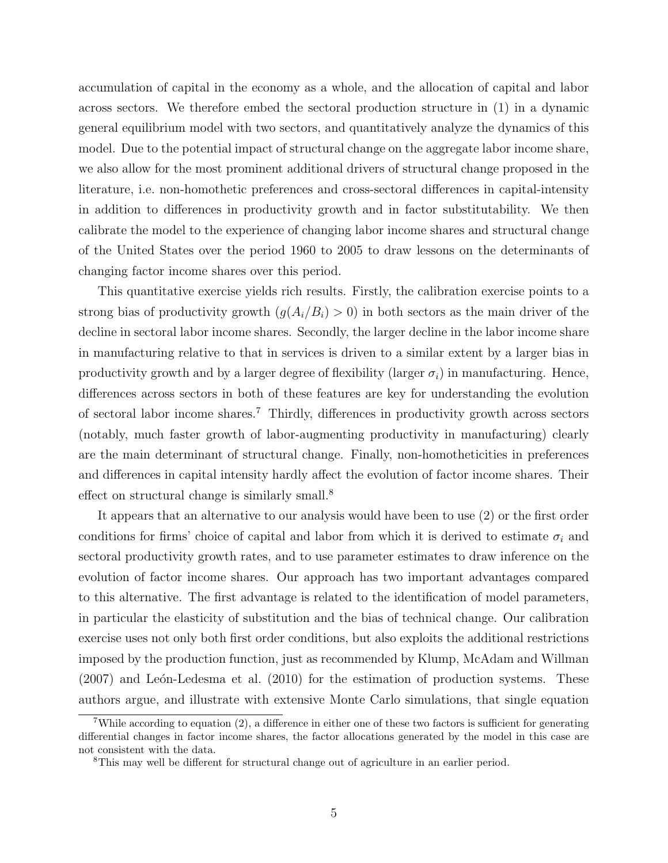accumulation of capital in the economy as a whole, and the allocation of capital and labor across sectors. We therefore embed the sectoral production structure in (1) in a dynamic general equilibrium model with two sectors, and quantitatively analyze the dynamics of this model. Due to the potential impact of structural change on the aggregate labor income share, we also allow for the most prominent additional drivers of structural change proposed in the literature, i.e. non-homothetic preferences and cross-sectoral differences in capital-intensity in addition to differences in productivity growth and in factor substitutability. We then calibrate the model to the experience of changing labor income shares and structural change of the United States over the period 1960 to 2005 to draw lessons on the determinants of changing factor income shares over this period.

This quantitative exercise yields rich results. Firstly, the calibration exercise points to a strong bias of productivity growth  $(g(A_i/B_i) > 0)$  in both sectors as the main driver of the decline in sectoral labor income shares. Secondly, the larger decline in the labor income share in manufacturing relative to that in services is driven to a similar extent by a larger bias in productivity growth and by a larger degree of flexibility (larger  $\sigma_i$ ) in manufacturing. Hence, differences across sectors in both of these features are key for understanding the evolution of sectoral labor income shares.<sup>7</sup> Thirdly, differences in productivity growth across sectors (notably, much faster growth of labor-augmenting productivity in manufacturing) clearly are the main determinant of structural change. Finally, non-homotheticities in preferences and differences in capital intensity hardly affect the evolution of factor income shares. Their effect on structural change is similarly small.<sup>8</sup>

It appears that an alternative to our analysis would have been to use (2) or the first order conditions for firms' choice of capital and labor from which it is derived to estimate  $\sigma_i$  and sectoral productivity growth rates, and to use parameter estimates to draw inference on the evolution of factor income shares. Our approach has two important advantages compared to this alternative. The first advantage is related to the identification of model parameters, in particular the elasticity of substitution and the bias of technical change. Our calibration exercise uses not only both first order conditions, but also exploits the additional restrictions imposed by the production function, just as recommended by Klump, McAdam and Willman  $(2007)$  and León-Ledesma et al.  $(2010)$  for the estimation of production systems. These authors argue, and illustrate with extensive Monte Carlo simulations, that single equation

<sup>7</sup>While according to equation (2), a difference in either one of these two factors is sufficient for generating differential changes in factor income shares, the factor allocations generated by the model in this case are not consistent with the data.

<sup>8</sup>This may well be different for structural change out of agriculture in an earlier period.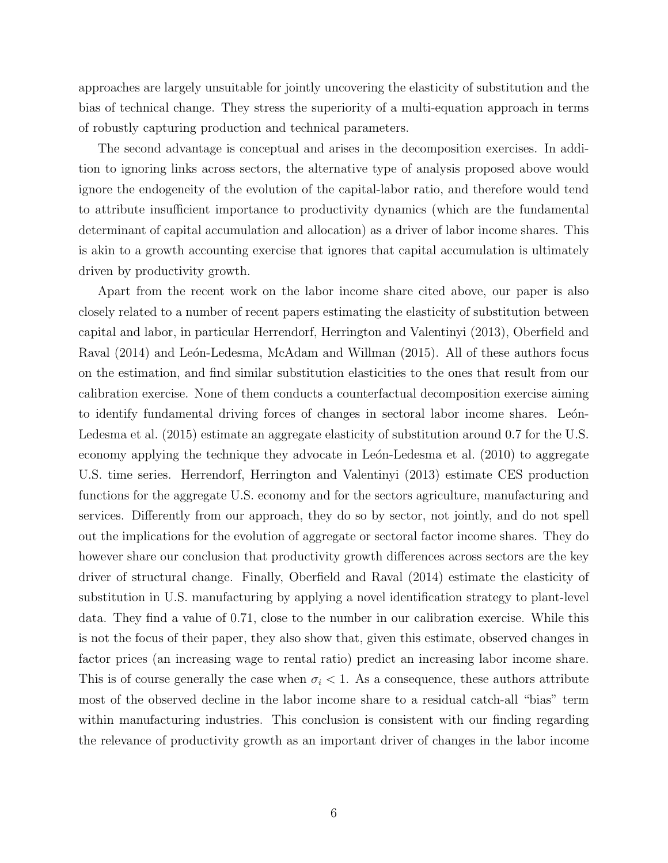approaches are largely unsuitable for jointly uncovering the elasticity of substitution and the bias of technical change. They stress the superiority of a multi-equation approach in terms of robustly capturing production and technical parameters.

The second advantage is conceptual and arises in the decomposition exercises. In addition to ignoring links across sectors, the alternative type of analysis proposed above would ignore the endogeneity of the evolution of the capital-labor ratio, and therefore would tend to attribute insufficient importance to productivity dynamics (which are the fundamental determinant of capital accumulation and allocation) as a driver of labor income shares. This is akin to a growth accounting exercise that ignores that capital accumulation is ultimately driven by productivity growth.

Apart from the recent work on the labor income share cited above, our paper is also closely related to a number of recent papers estimating the elasticity of substitution between capital and labor, in particular Herrendorf, Herrington and Valentinyi (2013), Oberfield and Raval (2014) and León-Ledesma, McAdam and Willman (2015). All of these authors focus on the estimation, and find similar substitution elasticities to the ones that result from our calibration exercise. None of them conducts a counterfactual decomposition exercise aiming to identify fundamental driving forces of changes in sectoral labor income shares. León-Ledesma et al. (2015) estimate an aggregate elasticity of substitution around 0.7 for the U.S. economy applying the technique they advocate in León-Ledesma et al. (2010) to aggregate U.S. time series. Herrendorf, Herrington and Valentinyi (2013) estimate CES production functions for the aggregate U.S. economy and for the sectors agriculture, manufacturing and services. Differently from our approach, they do so by sector, not jointly, and do not spell out the implications for the evolution of aggregate or sectoral factor income shares. They do however share our conclusion that productivity growth differences across sectors are the key driver of structural change. Finally, Oberfield and Raval (2014) estimate the elasticity of substitution in U.S. manufacturing by applying a novel identification strategy to plant-level data. They find a value of 0.71, close to the number in our calibration exercise. While this is not the focus of their paper, they also show that, given this estimate, observed changes in factor prices (an increasing wage to rental ratio) predict an increasing labor income share. This is of course generally the case when  $\sigma_i < 1$ . As a consequence, these authors attribute most of the observed decline in the labor income share to a residual catch-all "bias" term within manufacturing industries. This conclusion is consistent with our finding regarding the relevance of productivity growth as an important driver of changes in the labor income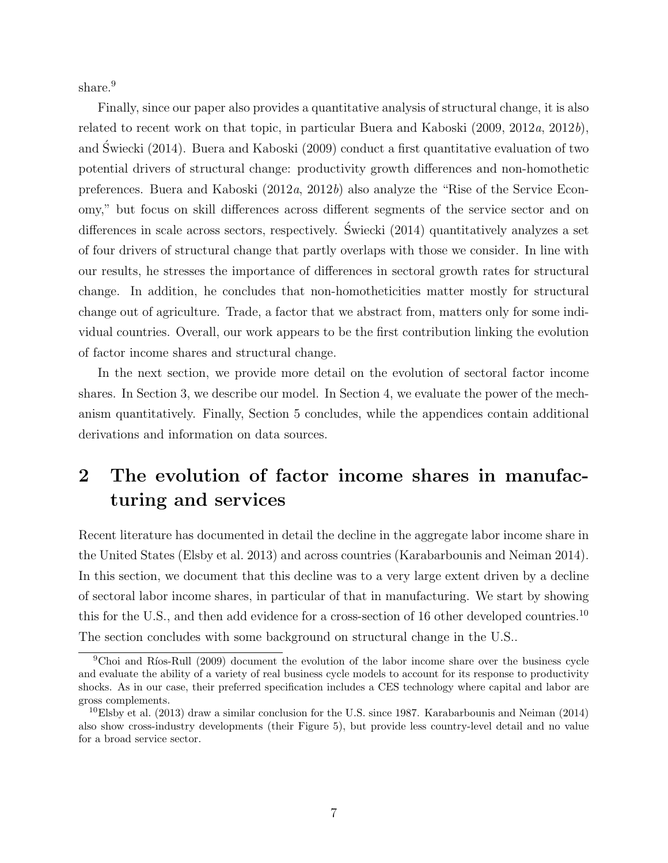share.<sup>9</sup>

Finally, since our paper also provides a quantitative analysis of structural change, it is also related to recent work on that topic, in particular Buera and Kaboski (2009, 2012a, 2012b), and Swiecki (2014). Buera and Kaboski (2009) conduct a first quantitative evaluation of two ´ potential drivers of structural change: productivity growth differences and non-homothetic preferences. Buera and Kaboski (2012a, 2012b) also analyze the "Rise of the Service Economy," but focus on skill differences across different segments of the service sector and on differences in scale across sectors, respectively. Swiecki (2014) quantitatively analyzes a set of four drivers of structural change that partly overlaps with those we consider. In line with our results, he stresses the importance of differences in sectoral growth rates for structural change. In addition, he concludes that non-homotheticities matter mostly for structural change out of agriculture. Trade, a factor that we abstract from, matters only for some individual countries. Overall, our work appears to be the first contribution linking the evolution of factor income shares and structural change.

In the next section, we provide more detail on the evolution of sectoral factor income shares. In Section 3, we describe our model. In Section 4, we evaluate the power of the mechanism quantitatively. Finally, Section 5 concludes, while the appendices contain additional derivations and information on data sources.

# 2 The evolution of factor income shares in manufacturing and services

Recent literature has documented in detail the decline in the aggregate labor income share in the United States (Elsby et al. 2013) and across countries (Karabarbounis and Neiman 2014). In this section, we document that this decline was to a very large extent driven by a decline of sectoral labor income shares, in particular of that in manufacturing. We start by showing this for the U.S., and then add evidence for a cross-section of 16 other developed countries.<sup>10</sup> The section concludes with some background on structural change in the U.S..

 ${}^{9}$ Choi and Ríos-Rull (2009) document the evolution of the labor income share over the business cycle and evaluate the ability of a variety of real business cycle models to account for its response to productivity shocks. As in our case, their preferred specification includes a CES technology where capital and labor are gross complements.

 $10E$ lsby et al. (2013) draw a similar conclusion for the U.S. since 1987. Karabarbounis and Neiman (2014) also show cross-industry developments (their Figure 5), but provide less country-level detail and no value for a broad service sector.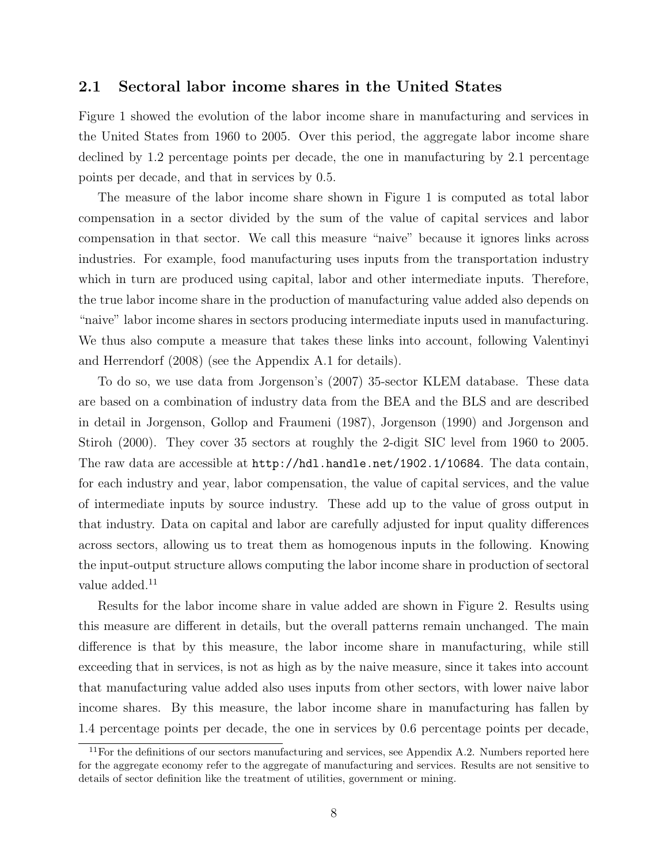#### 2.1 Sectoral labor income shares in the United States

Figure 1 showed the evolution of the labor income share in manufacturing and services in the United States from 1960 to 2005. Over this period, the aggregate labor income share declined by 1.2 percentage points per decade, the one in manufacturing by 2.1 percentage points per decade, and that in services by 0.5.

The measure of the labor income share shown in Figure 1 is computed as total labor compensation in a sector divided by the sum of the value of capital services and labor compensation in that sector. We call this measure "naive" because it ignores links across industries. For example, food manufacturing uses inputs from the transportation industry which in turn are produced using capital, labor and other intermediate inputs. Therefore, the true labor income share in the production of manufacturing value added also depends on "naive" labor income shares in sectors producing intermediate inputs used in manufacturing. We thus also compute a measure that takes these links into account, following Valentinyi and Herrendorf (2008) (see the Appendix A.1 for details).

To do so, we use data from Jorgenson's (2007) 35-sector KLEM database. These data are based on a combination of industry data from the BEA and the BLS and are described in detail in Jorgenson, Gollop and Fraumeni (1987), Jorgenson (1990) and Jorgenson and Stiroh (2000). They cover 35 sectors at roughly the 2-digit SIC level from 1960 to 2005. The raw data are accessible at http://hdl.handle.net/1902.1/10684. The data contain, for each industry and year, labor compensation, the value of capital services, and the value of intermediate inputs by source industry. These add up to the value of gross output in that industry. Data on capital and labor are carefully adjusted for input quality differences across sectors, allowing us to treat them as homogenous inputs in the following. Knowing the input-output structure allows computing the labor income share in production of sectoral value added.<sup>11</sup>

Results for the labor income share in value added are shown in Figure 2. Results using this measure are different in details, but the overall patterns remain unchanged. The main difference is that by this measure, the labor income share in manufacturing, while still exceeding that in services, is not as high as by the naive measure, since it takes into account that manufacturing value added also uses inputs from other sectors, with lower naive labor income shares. By this measure, the labor income share in manufacturing has fallen by 1.4 percentage points per decade, the one in services by 0.6 percentage points per decade,

 $11$  For the definitions of our sectors manufacturing and services, see Appendix A.2. Numbers reported here for the aggregate economy refer to the aggregate of manufacturing and services. Results are not sensitive to details of sector definition like the treatment of utilities, government or mining.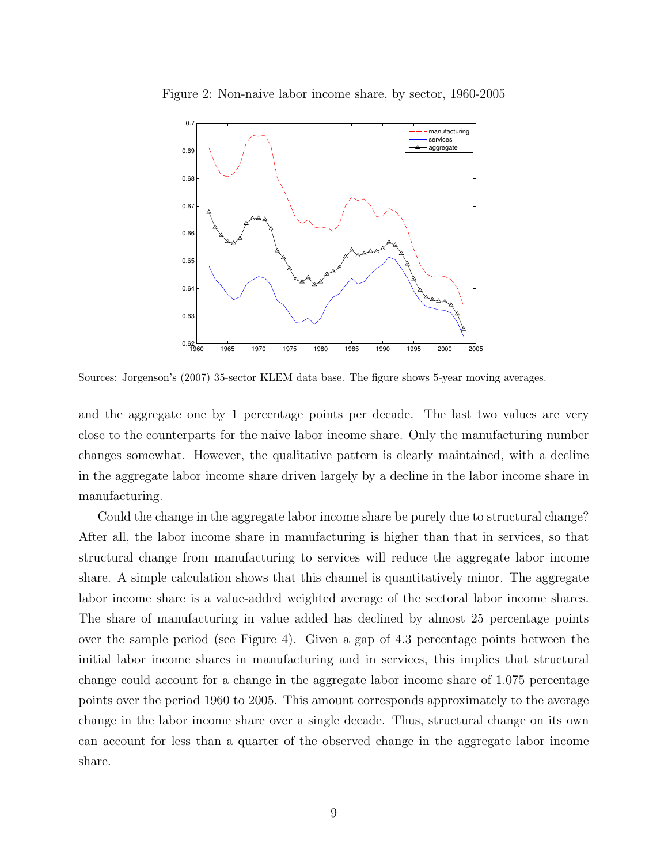

Figure 2: Non-naive labor income share, by sector, 1960-2005

Sources: Jorgenson's (2007) 35-sector KLEM data base. The figure shows 5-year moving averages.

and the aggregate one by 1 percentage points per decade. The last two values are very close to the counterparts for the naive labor income share. Only the manufacturing number changes somewhat. However, the qualitative pattern is clearly maintained, with a decline in the aggregate labor income share driven largely by a decline in the labor income share in manufacturing.

Could the change in the aggregate labor income share be purely due to structural change? After all, the labor income share in manufacturing is higher than that in services, so that structural change from manufacturing to services will reduce the aggregate labor income share. A simple calculation shows that this channel is quantitatively minor. The aggregate labor income share is a value-added weighted average of the sectoral labor income shares. The share of manufacturing in value added has declined by almost 25 percentage points over the sample period (see Figure 4). Given a gap of 4.3 percentage points between the initial labor income shares in manufacturing and in services, this implies that structural change could account for a change in the aggregate labor income share of 1.075 percentage points over the period 1960 to 2005. This amount corresponds approximately to the average change in the labor income share over a single decade. Thus, structural change on its own can account for less than a quarter of the observed change in the aggregate labor income share.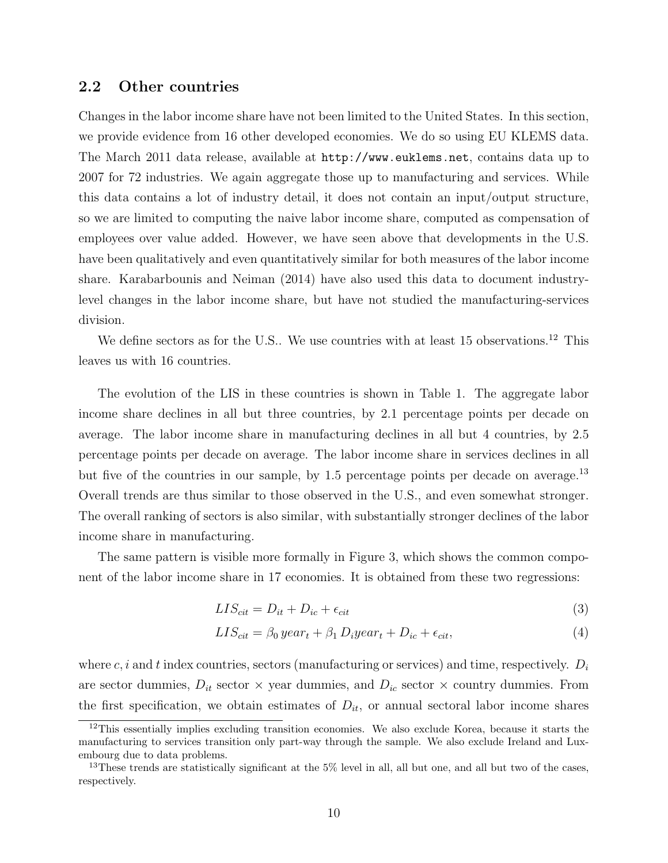### 2.2 Other countries

Changes in the labor income share have not been limited to the United States. In this section, we provide evidence from 16 other developed economies. We do so using EU KLEMS data. The March 2011 data release, available at http://www.euklems.net, contains data up to 2007 for 72 industries. We again aggregate those up to manufacturing and services. While this data contains a lot of industry detail, it does not contain an input/output structure, so we are limited to computing the naive labor income share, computed as compensation of employees over value added. However, we have seen above that developments in the U.S. have been qualitatively and even quantitatively similar for both measures of the labor income share. Karabarbounis and Neiman (2014) have also used this data to document industrylevel changes in the labor income share, but have not studied the manufacturing-services division.

We define sectors as for the U.S.. We use countries with at least 15 observations.<sup>12</sup> This leaves us with 16 countries.

The evolution of the LIS in these countries is shown in Table 1. The aggregate labor income share declines in all but three countries, by 2.1 percentage points per decade on average. The labor income share in manufacturing declines in all but 4 countries, by 2.5 percentage points per decade on average. The labor income share in services declines in all but five of the countries in our sample, by 1.5 percentage points per decade on average.<sup>13</sup> Overall trends are thus similar to those observed in the U.S., and even somewhat stronger. The overall ranking of sectors is also similar, with substantially stronger declines of the labor income share in manufacturing.

The same pattern is visible more formally in Figure 3, which shows the common component of the labor income share in 17 economies. It is obtained from these two regressions:

$$
LIS_{cit} = D_{it} + D_{ic} + \epsilon_{cit} \tag{3}
$$

$$
LIS_{cit} = \beta_0 \, year_t + \beta_1 \, D_i \, year_t + D_{ic} + \epsilon_{cit}, \tag{4}
$$

where  $c, i$  and t index countries, sectors (manufacturing or services) and time, respectively.  $D_i$ are sector dummies,  $D_{it}$  sector  $\times$  year dummies, and  $D_{ic}$  sector  $\times$  country dummies. From the first specification, we obtain estimates of  $D_{it}$ , or annual sectoral labor income shares

<sup>&</sup>lt;sup>12</sup>This essentially implies excluding transition economies. We also exclude Korea, because it starts the manufacturing to services transition only part-way through the sample. We also exclude Ireland and Luxembourg due to data problems.

<sup>&</sup>lt;sup>13</sup>These trends are statistically significant at the 5% level in all, all but one, and all but two of the cases, respectively.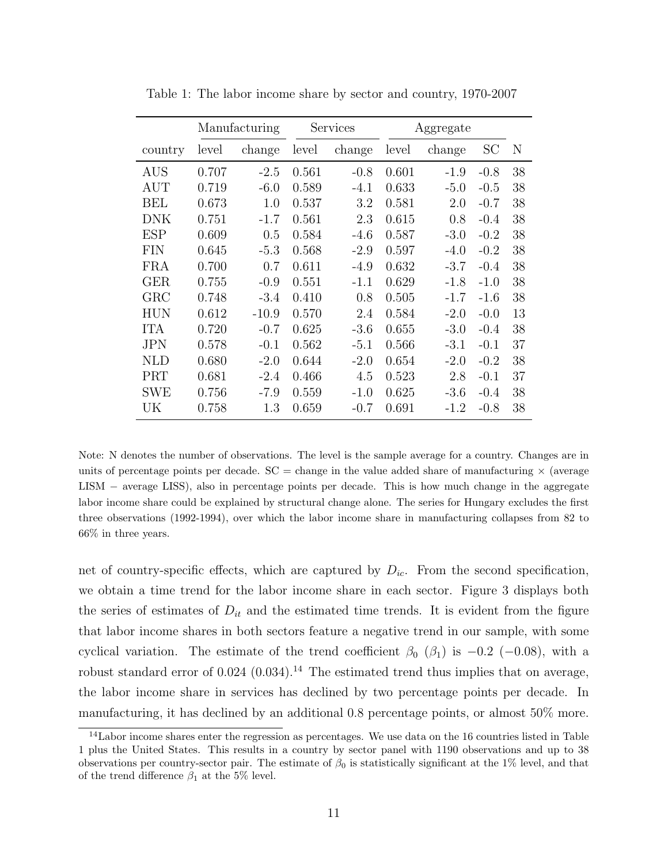|            | Manufacturing |         |       | Services |       | Aggregate |        |    |
|------------|---------------|---------|-------|----------|-------|-----------|--------|----|
| country    | level         | change  | level | change   | level | change    | SС     | N  |
| <b>AUS</b> | 0.707         | $-2.5$  | 0.561 | $-0.8$   | 0.601 | $-1.9$    | $-0.8$ | 38 |
| AUT        | 0.719         | $-6.0$  | 0.589 | $-4.1$   | 0.633 | $-5.0$    | $-0.5$ | 38 |
| BEL        | 0.673         | 1.0     | 0.537 | 3.2      | 0.581 | 2.0       | $-0.7$ | 38 |
| <b>DNK</b> | 0.751         | $-1.7$  | 0.561 | 2.3      | 0.615 | 0.8       | $-0.4$ | 38 |
| <b>ESP</b> | 0.609         | 0.5     | 0.584 | $-4.6$   | 0.587 | $-3.0$    | $-0.2$ | 38 |
| <b>FIN</b> | 0.645         | $-5.3$  | 0.568 | $-2.9$   | 0.597 | $-4.0$    | $-0.2$ | 38 |
| <b>FRA</b> | 0.700         | 0.7     | 0.611 | $-4.9$   | 0.632 | $-3.7$    | $-0.4$ | 38 |
| <b>GER</b> | 0.755         | $-0.9$  | 0.551 | $-1.1$   | 0.629 | $-1.8$    | $-1.0$ | 38 |
| GRC        | 0.748         | $-3.4$  | 0.410 | 0.8      | 0.505 | $-1.7$    | $-1.6$ | 38 |
| <b>HUN</b> | 0.612         | $-10.9$ | 0.570 | 2.4      | 0.584 | $-2.0$    | $-0.0$ | 13 |
| <b>ITA</b> | 0.720         | $-0.7$  | 0.625 | $-3.6$   | 0.655 | $-3.0$    | $-0.4$ | 38 |
| <b>JPN</b> | 0.578         | $-0.1$  | 0.562 | $-5.1$   | 0.566 | $-3.1$    | $-0.1$ | 37 |
| <b>NLD</b> | 0.680         | $-2.0$  | 0.644 | $-2.0$   | 0.654 | $-2.0$    | $-0.2$ | 38 |
| PRT        | 0.681         | $-2.4$  | 0.466 | 4.5      | 0.523 | 2.8       | $-0.1$ | 37 |
| <b>SWE</b> | 0.756         | $-7.9$  | 0.559 | $-1.0$   | 0.625 | $-3.6$    | $-0.4$ | 38 |
| UK         | 0.758         | 1.3     | 0.659 | $-0.7$   | 0.691 | $-1.2$    | $-0.8$ | 38 |

Table 1: The labor income share by sector and country, 1970-2007

Note: N denotes the number of observations. The level is the sample average for a country. Changes are in units of percentage points per decade.  $SC = change$  in the value added share of manufacturing  $\times$  (average LISM − average LISS), also in percentage points per decade. This is how much change in the aggregate labor income share could be explained by structural change alone. The series for Hungary excludes the first three observations (1992-1994), over which the labor income share in manufacturing collapses from 82 to 66% in three years.

net of country-specific effects, which are captured by  $D_{ic}$ . From the second specification, we obtain a time trend for the labor income share in each sector. Figure 3 displays both the series of estimates of  $D_{it}$  and the estimated time trends. It is evident from the figure that labor income shares in both sectors feature a negative trend in our sample, with some cyclical variation. The estimate of the trend coefficient  $\beta_0$  ( $\beta_1$ ) is -0.2 (-0.08), with a robust standard error of  $0.024$  (0.034).<sup>14</sup> The estimated trend thus implies that on average, the labor income share in services has declined by two percentage points per decade. In manufacturing, it has declined by an additional 0.8 percentage points, or almost 50% more.

 $14$ Labor income shares enter the regression as percentages. We use data on the 16 countries listed in Table 1 plus the United States. This results in a country by sector panel with 1190 observations and up to 38 observations per country-sector pair. The estimate of  $\beta_0$  is statistically significant at the 1% level, and that of the trend difference  $\beta_1$  at the 5% level.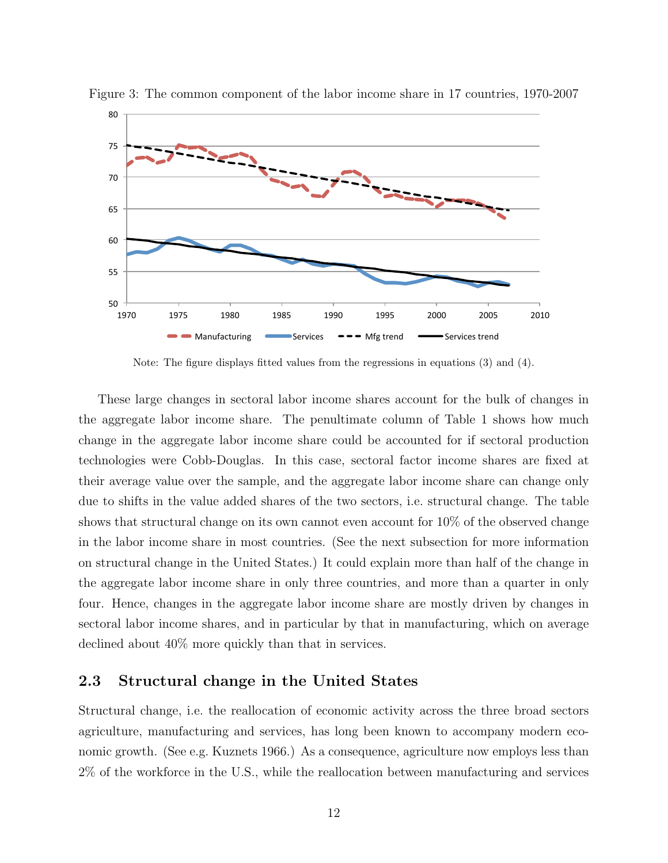

Figure 3: The common component of the labor income share in 17 countries, 1970-2007

Note: The figure displays fitted values from the regressions in equations (3) and (4).

These large changes in sectoral labor income shares account for the bulk of changes in the aggregate labor income share. The penultimate column of Table 1 shows how much change in the aggregate labor income share could be accounted for if sectoral production technologies were Cobb-Douglas. In this case, sectoral factor income shares are fixed at their average value over the sample, and the aggregate labor income share can change only due to shifts in the value added shares of the two sectors, i.e. structural change. The table shows that structural change on its own cannot even account for 10% of the observed change in the labor income share in most countries. (See the next subsection for more information on structural change in the United States.) It could explain more than half of the change in the aggregate labor income share in only three countries, and more than a quarter in only four. Hence, changes in the aggregate labor income share are mostly driven by changes in sectoral labor income shares, and in particular by that in manufacturing, which on average declined about 40% more quickly than that in services.

## 2.3 Structural change in the United States

Structural change, i.e. the reallocation of economic activity across the three broad sectors agriculture, manufacturing and services, has long been known to accompany modern economic growth. (See e.g. Kuznets 1966.) As a consequence, agriculture now employs less than 2% of the workforce in the U.S., while the reallocation between manufacturing and services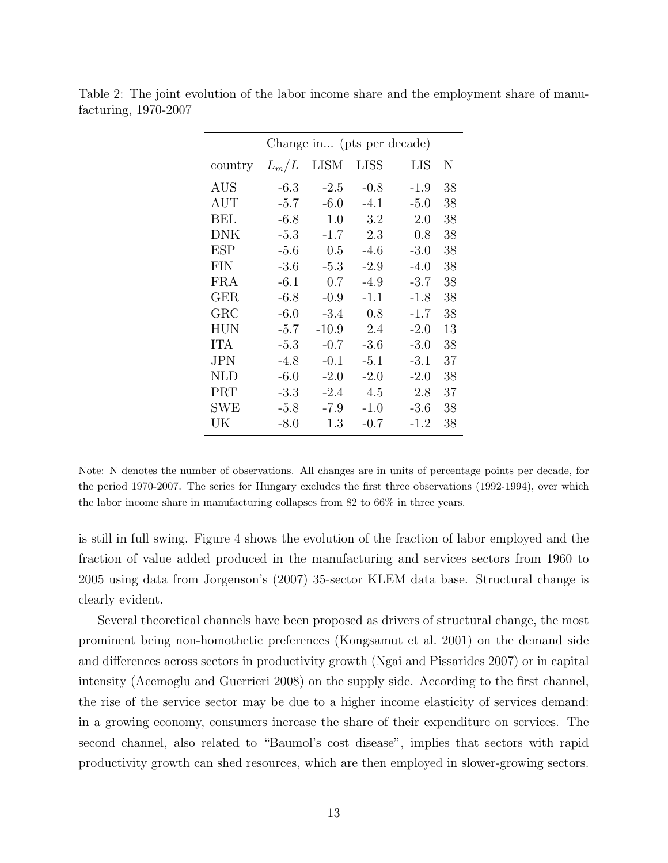| $L_m/L$ | <b>LISM</b> | <b>LISS</b> | LIS    | Ν                          |
|---------|-------------|-------------|--------|----------------------------|
| $-6.3$  | $-2.5$      | $-0.8$      | $-1.9$ | 38                         |
| $-5.7$  | $-6.0$      | $-4.1$      | $-5.0$ | 38                         |
| $-6.8$  | 1.0         | 3.2         | 2.0    | 38                         |
| $-5.3$  | $-1.7$      | 2.3         | 0.8    | 38                         |
| $-5.6$  | 0.5         | $-4.6$      | $-3.0$ | 38                         |
| $-3.6$  | $-5.3$      | $-2.9$      | $-4.0$ | 38                         |
| $-6.1$  | 0.7         | $-4.9$      | $-3.7$ | 38                         |
| $-6.8$  | $-0.9$      | $-1.1$      | $-1.8$ | 38                         |
| $-6.0$  | $-3.4$      | 0.8         | $-1.7$ | 38                         |
| $-5.7$  | $-10.9$     | 2.4         | $-2.0$ | 13                         |
| $-5.3$  | $-0.7$      | $-3.6$      | $-3.0$ | 38                         |
| $-4.8$  | $-0.1$      | $-5.1$      | $-3.1$ | 37                         |
| $-6.0$  | $-2.0$      | $-2.0$      | $-2.0$ | 38                         |
| $-3.3$  | $-2.4$      | 4.5         | 2.8    | 37                         |
| $-5.8$  | $-7.9$      | $-1.0$      | $-3.6$ | 38                         |
| $-8.0$  | 1.3         | $-0.7$      | $-1.2$ | 38                         |
|         |             |             |        | Change in (pts per decade) |

Table 2: The joint evolution of the labor income share and the employment share of manufacturing, 1970-2007

Note: N denotes the number of observations. All changes are in units of percentage points per decade, for the period 1970-2007. The series for Hungary excludes the first three observations (1992-1994), over which the labor income share in manufacturing collapses from 82 to 66% in three years.

is still in full swing. Figure 4 shows the evolution of the fraction of labor employed and the fraction of value added produced in the manufacturing and services sectors from 1960 to 2005 using data from Jorgenson's (2007) 35-sector KLEM data base. Structural change is clearly evident.

Several theoretical channels have been proposed as drivers of structural change, the most prominent being non-homothetic preferences (Kongsamut et al. 2001) on the demand side and differences across sectors in productivity growth (Ngai and Pissarides 2007) or in capital intensity (Acemoglu and Guerrieri 2008) on the supply side. According to the first channel, the rise of the service sector may be due to a higher income elasticity of services demand: in a growing economy, consumers increase the share of their expenditure on services. The second channel, also related to "Baumol's cost disease", implies that sectors with rapid productivity growth can shed resources, which are then employed in slower-growing sectors.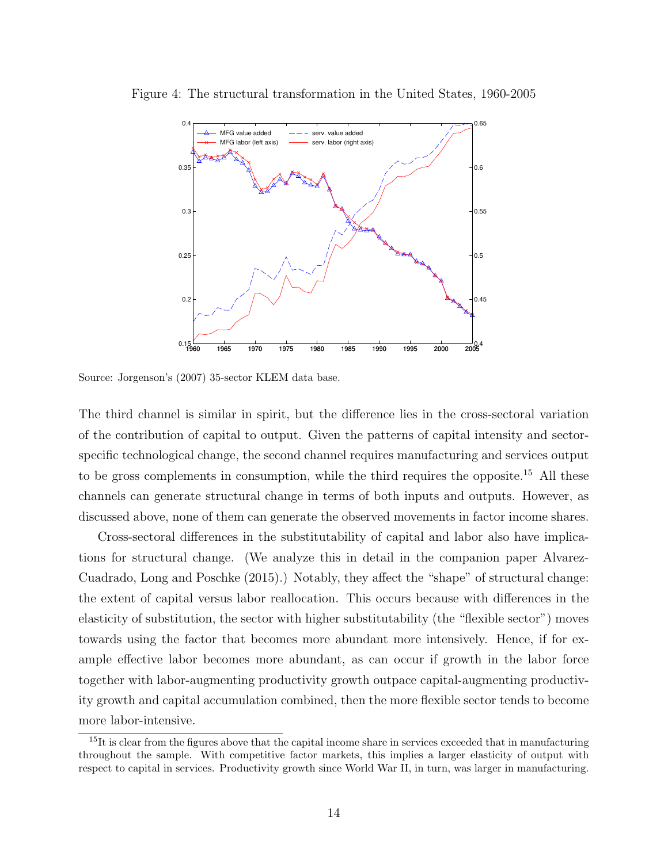

Figure 4: The structural transformation in the United States, 1960-2005

Source: Jorgenson's (2007) 35-sector KLEM data base.

The third channel is similar in spirit, but the difference lies in the cross-sectoral variation of the contribution of capital to output. Given the patterns of capital intensity and sectorspecific technological change, the second channel requires manufacturing and services output to be gross complements in consumption, while the third requires the opposite.<sup>15</sup> All these channels can generate structural change in terms of both inputs and outputs. However, as discussed above, none of them can generate the observed movements in factor income shares.

Cross-sectoral differences in the substitutability of capital and labor also have implications for structural change. (We analyze this in detail in the companion paper Alvarez-Cuadrado, Long and Poschke (2015).) Notably, they affect the "shape" of structural change: the extent of capital versus labor reallocation. This occurs because with differences in the elasticity of substitution, the sector with higher substitutability (the "flexible sector") moves towards using the factor that becomes more abundant more intensively. Hence, if for example effective labor becomes more abundant, as can occur if growth in the labor force together with labor-augmenting productivity growth outpace capital-augmenting productivity growth and capital accumulation combined, then the more flexible sector tends to become more labor-intensive.

 $15$ It is clear from the figures above that the capital income share in services exceeded that in manufacturing throughout the sample. With competitive factor markets, this implies a larger elasticity of output with respect to capital in services. Productivity growth since World War II, in turn, was larger in manufacturing.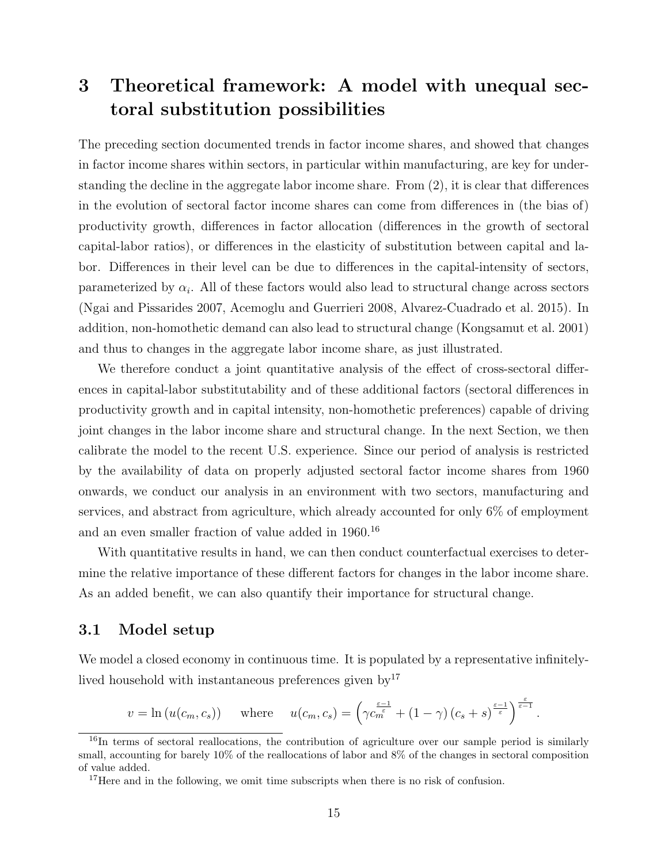# 3 Theoretical framework: A model with unequal sectoral substitution possibilities

The preceding section documented trends in factor income shares, and showed that changes in factor income shares within sectors, in particular within manufacturing, are key for understanding the decline in the aggregate labor income share. From (2), it is clear that differences in the evolution of sectoral factor income shares can come from differences in (the bias of) productivity growth, differences in factor allocation (differences in the growth of sectoral capital-labor ratios), or differences in the elasticity of substitution between capital and labor. Differences in their level can be due to differences in the capital-intensity of sectors, parameterized by  $\alpha_i$ . All of these factors would also lead to structural change across sectors (Ngai and Pissarides 2007, Acemoglu and Guerrieri 2008, Alvarez-Cuadrado et al. 2015). In addition, non-homothetic demand can also lead to structural change (Kongsamut et al. 2001) and thus to changes in the aggregate labor income share, as just illustrated.

We therefore conduct a joint quantitative analysis of the effect of cross-sectoral differences in capital-labor substitutability and of these additional factors (sectoral differences in productivity growth and in capital intensity, non-homothetic preferences) capable of driving joint changes in the labor income share and structural change. In the next Section, we then calibrate the model to the recent U.S. experience. Since our period of analysis is restricted by the availability of data on properly adjusted sectoral factor income shares from 1960 onwards, we conduct our analysis in an environment with two sectors, manufacturing and services, and abstract from agriculture, which already accounted for only 6% of employment and an even smaller fraction of value added in 1960.<sup>16</sup>

With quantitative results in hand, we can then conduct counterfactual exercises to determine the relative importance of these different factors for changes in the labor income share. As an added benefit, we can also quantify their importance for structural change.

### 3.1 Model setup

We model a closed economy in continuous time. It is populated by a representative infinitelylived household with instantaneous preferences given  $by<sup>17</sup>$ 

$$
v = \ln(u(c_m, c_s))
$$
 where  $u(c_m, c_s) = \left(\gamma c_m^{\frac{\varepsilon - 1}{\varepsilon}} + (1 - \gamma)(c_s + s)^{\frac{\varepsilon - 1}{\varepsilon}}\right)^{\frac{\varepsilon}{\varepsilon - 1}}.$ 

 $16$ In terms of sectoral reallocations, the contribution of agriculture over our sample period is similarly small, accounting for barely 10% of the reallocations of labor and 8% of the changes in sectoral composition of value added.

<sup>&</sup>lt;sup>17</sup>Here and in the following, we omit time subscripts when there is no risk of confusion.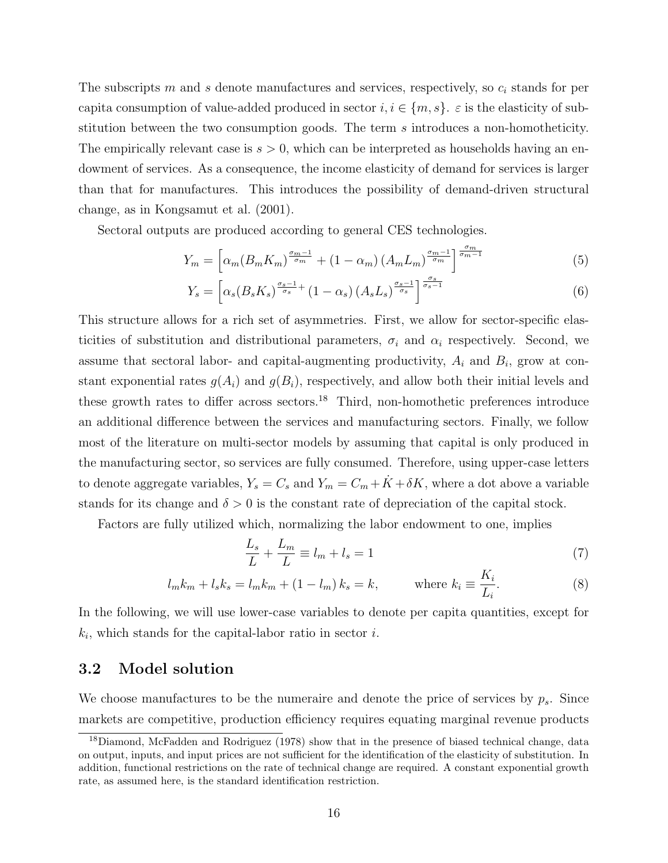The subscripts m and s denote manufactures and services, respectively, so  $c_i$  stands for per capita consumption of value-added produced in sector  $i, i \in \{m, s\}$ .  $\varepsilon$  is the elasticity of substitution between the two consumption goods. The term s introduces a non-homotheticity. The empirically relevant case is  $s > 0$ , which can be interpreted as households having an endowment of services. As a consequence, the income elasticity of demand for services is larger than that for manufactures. This introduces the possibility of demand-driven structural change, as in Kongsamut et al. (2001).

Sectoral outputs are produced according to general CES technologies.

$$
Y_m = \left[ \alpha_m (B_m K_m)^{\frac{\sigma_m - 1}{\sigma_m}} + (1 - \alpha_m) (A_m L_m)^{\frac{\sigma_m - 1}{\sigma_m}} \right]^{\frac{\sigma_m}{\sigma_m - 1}} \tag{5}
$$

$$
Y_s = \left[ \alpha_s (B_s K_s)^{\frac{\sigma_s - 1}{\sigma_s}} + (1 - \alpha_s) (A_s L_s)^{\frac{\sigma_s - 1}{\sigma_s}} \right]^{\frac{\sigma_s}{\sigma_s - 1}} \tag{6}
$$

This structure allows for a rich set of asymmetries. First, we allow for sector-specific elasticities of substitution and distributional parameters,  $\sigma_i$  and  $\alpha_i$  respectively. Second, we assume that sectoral labor- and capital-augmenting productivity,  $A_i$  and  $B_i$ , grow at constant exponential rates  $g(A_i)$  and  $g(B_i)$ , respectively, and allow both their initial levels and these growth rates to differ across sectors.<sup>18</sup> Third, non-homothetic preferences introduce an additional difference between the services and manufacturing sectors. Finally, we follow most of the literature on multi-sector models by assuming that capital is only produced in the manufacturing sector, so services are fully consumed. Therefore, using upper-case letters to denote aggregate variables,  $Y_s = C_s$  and  $Y_m = C_m + \dot{K} + \delta K$ , where a dot above a variable stands for its change and  $\delta > 0$  is the constant rate of depreciation of the capital stock.

Factors are fully utilized which, normalizing the labor endowment to one, implies

$$
\frac{L_s}{L} + \frac{L_m}{L} \equiv l_m + l_s = 1\tag{7}
$$

$$
l_{m}k_{m} + l_{s}k_{s} = l_{m}k_{m} + (1 - l_{m})k_{s} = k, \qquad \text{where } k_{i} \equiv \frac{K_{i}}{L_{i}}.
$$
 (8)

In the following, we will use lower-case variables to denote per capita quantities, except for  $k_i$ , which stands for the capital-labor ratio in sector i.

### 3.2 Model solution

We choose manufactures to be the numeraire and denote the price of services by  $p_s$ . Since markets are competitive, production efficiency requires equating marginal revenue products

<sup>18</sup>Diamond, McFadden and Rodriguez (1978) show that in the presence of biased technical change, data on output, inputs, and input prices are not sufficient for the identification of the elasticity of substitution. In addition, functional restrictions on the rate of technical change are required. A constant exponential growth rate, as assumed here, is the standard identification restriction.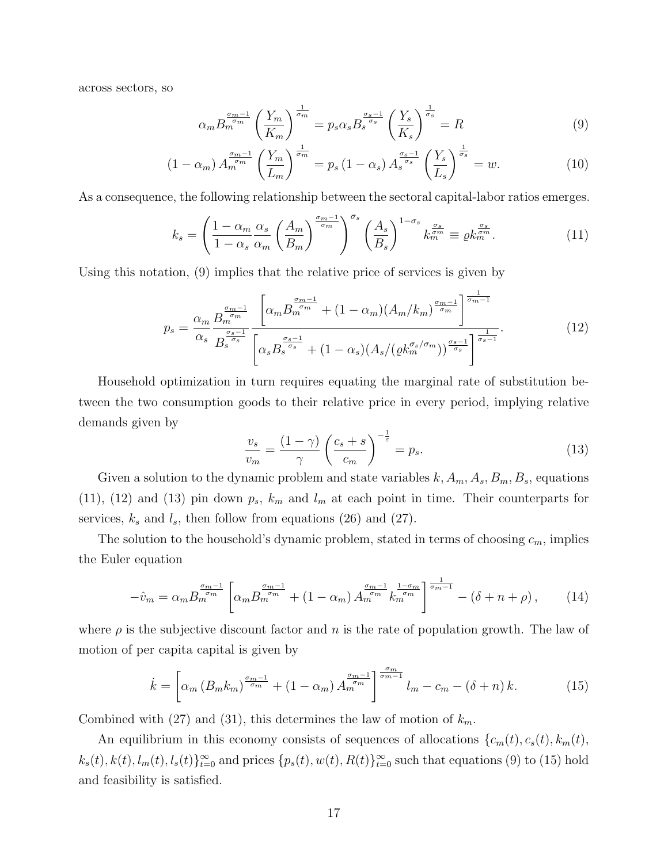across sectors, so

$$
\alpha_m B_m^{\frac{\sigma_m - 1}{\sigma_m}} \left( \frac{Y_m}{K_m} \right)^{\frac{1}{\sigma_m}} = p_s \alpha_s B_s^{\frac{\sigma_s - 1}{\sigma_s}} \left( \frac{Y_s}{K_s} \right)^{\frac{1}{\sigma_s}} = R \tag{9}
$$

$$
(1 - \alpha_m) A_m^{\frac{\sigma_m - 1}{\sigma_m}} \left( \frac{Y_m}{L_m} \right)^{\frac{1}{\sigma_m}} = p_s (1 - \alpha_s) A_s^{\frac{\sigma_s - 1}{\sigma_s}} \left( \frac{Y_s}{L_s} \right)^{\frac{1}{\sigma_s}} = w.
$$
 (10)

As a consequence, the following relationship between the sectoral capital-labor ratios emerges.

$$
k_s = \left(\frac{1-\alpha_m}{1-\alpha_s} \frac{\alpha_s}{\alpha_m} \left(\frac{A_m}{B_m}\right)^{\frac{\sigma_m-1}{\sigma_m}}\right)^{\sigma_s} \left(\frac{A_s}{B_s}\right)^{1-\sigma_s} k_m^{\frac{\sigma_s}{\sigma_m}} \equiv \varrho k_m^{\frac{\sigma_s}{\sigma_m}}.\tag{11}
$$

Using this notation, (9) implies that the relative price of services is given by

$$
p_s = \frac{\alpha_m}{\alpha_s} \frac{B_m^{\frac{\sigma_m - 1}{\sigma_m}}}{B_s^{\frac{\sigma_{s-1}}{\sigma_s}}} \frac{\left[ \alpha_m B_m^{\frac{\sigma_{m-1}}{\sigma_m}} + (1 - \alpha_m)(A_m/k_m)^{\frac{\sigma_{m-1}}{\sigma_m}} \right]^{\frac{1}{\sigma_{m-1}}}}{\left[ \alpha_s B_s^{\frac{\sigma_{s-1}}{\sigma_s}} + (1 - \alpha_s)(A_s/(\varrho k_m^{\sigma_s/\sigma_m}))^{\frac{\sigma_{s-1}}{\sigma_s}} \right]^{\frac{1}{\sigma_{s-1}}}}.
$$
(12)

Household optimization in turn requires equating the marginal rate of substitution between the two consumption goods to their relative price in every period, implying relative demands given by

$$
\frac{v_s}{v_m} = \frac{(1-\gamma)}{\gamma} \left(\frac{c_s+s}{c_m}\right)^{-\frac{1}{\varepsilon}} = p_s.
$$
\n(13)

Given a solution to the dynamic problem and state variables  $k, A_m, A_s, B_m, B_s$ , equations (11), (12) and (13) pin down  $p_s$ ,  $k_m$  and  $l_m$  at each point in time. Their counterparts for services,  $k_s$  and  $l_s$ , then follow from equations (26) and (27).

The solution to the household's dynamic problem, stated in terms of choosing  $c_m$ , implies the Euler equation

$$
-\hat{v}_m = \alpha_m B_m^{\frac{\sigma_{m-1}}{\sigma_m}} \left[ \alpha_m B_m^{\frac{\sigma_{m-1}}{\sigma_m}} + (1 - \alpha_m) A_m^{\frac{\sigma_{m-1}}{\sigma_m}} k_m^{\frac{1 - \sigma_m}{\sigma_m}} \right]^{\frac{1}{\sigma_{m-1}}} - (\delta + n + \rho), \tag{14}
$$

where  $\rho$  is the subjective discount factor and n is the rate of population growth. The law of motion of per capita capital is given by

$$
\dot{k} = \left[ \alpha_m \left( B_m k_m \right)^{\frac{\sigma_{m-1}}{\sigma_m}} + \left( 1 - \alpha_m \right) A_m^{\frac{\sigma_{m-1}}{\sigma_m}} \right]_{m}^{\frac{\sigma_m}{\sigma_m - 1}} l_m - c_m - \left( \delta + n \right) k. \tag{15}
$$

Combined with (27) and (31), this determines the law of motion of  $k_m$ .

An equilibrium in this economy consists of sequences of allocations  $\{c_m(t), c_s(t), k_m(t),\}$  $k_s(t), k(t), l_m(t), l_s(t)$ <sub>t=0</sub> and prices  $\{p_s(t), w(t), R(t)\}_{t=0}^{\infty}$  such that equations (9) to (15) hold and feasibility is satisfied.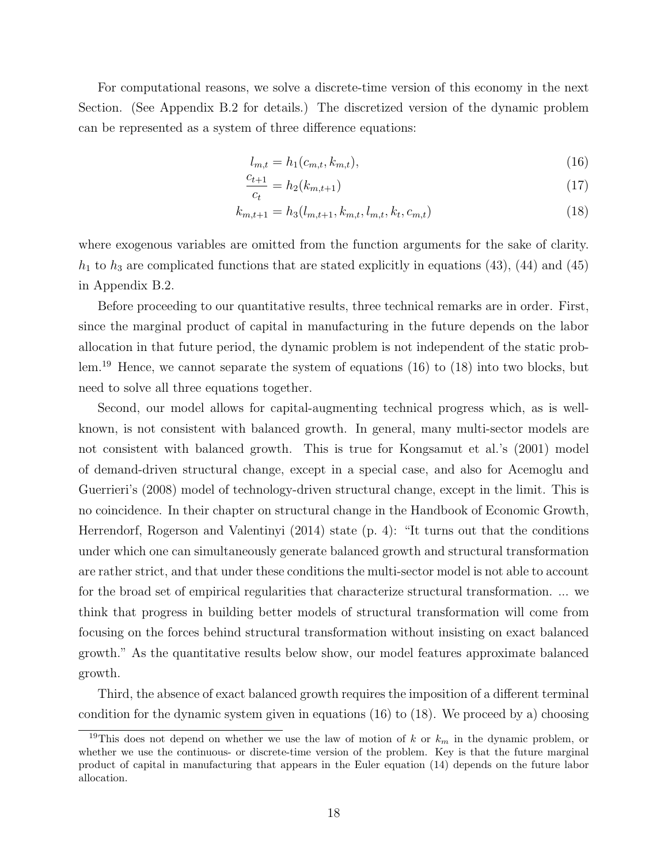For computational reasons, we solve a discrete-time version of this economy in the next Section. (See Appendix B.2 for details.) The discretized version of the dynamic problem can be represented as a system of three difference equations:

$$
l_{m,t} = h_1(c_{m,t}, k_{m,t}),
$$
\n(16)

$$
\frac{c_{t+1}}{c_t} = h_2(k_{m,t+1})\tag{17}
$$

$$
k_{m,t+1} = h_3(l_{m,t+1}, k_{m,t}, l_{m,t}, k_t, c_{m,t})
$$
\n(18)

where exogenous variables are omitted from the function arguments for the sake of clarity.  $h_1$  to  $h_3$  are complicated functions that are stated explicitly in equations (43), (44) and (45) in Appendix B.2.

Before proceeding to our quantitative results, three technical remarks are in order. First, since the marginal product of capital in manufacturing in the future depends on the labor allocation in that future period, the dynamic problem is not independent of the static problem.<sup>19</sup> Hence, we cannot separate the system of equations (16) to (18) into two blocks, but need to solve all three equations together.

Second, our model allows for capital-augmenting technical progress which, as is wellknown, is not consistent with balanced growth. In general, many multi-sector models are not consistent with balanced growth. This is true for Kongsamut et al.'s (2001) model of demand-driven structural change, except in a special case, and also for Acemoglu and Guerrieri's (2008) model of technology-driven structural change, except in the limit. This is no coincidence. In their chapter on structural change in the Handbook of Economic Growth, Herrendorf, Rogerson and Valentinyi (2014) state (p. 4): "It turns out that the conditions under which one can simultaneously generate balanced growth and structural transformation are rather strict, and that under these conditions the multi-sector model is not able to account for the broad set of empirical regularities that characterize structural transformation. ... we think that progress in building better models of structural transformation will come from focusing on the forces behind structural transformation without insisting on exact balanced growth." As the quantitative results below show, our model features approximate balanced growth.

Third, the absence of exact balanced growth requires the imposition of a different terminal condition for the dynamic system given in equations  $(16)$  to  $(18)$ . We proceed by a) choosing

<sup>&</sup>lt;sup>19</sup>This does not depend on whether we use the law of motion of k or  $k_m$  in the dynamic problem, or whether we use the continuous- or discrete-time version of the problem. Key is that the future marginal product of capital in manufacturing that appears in the Euler equation (14) depends on the future labor allocation.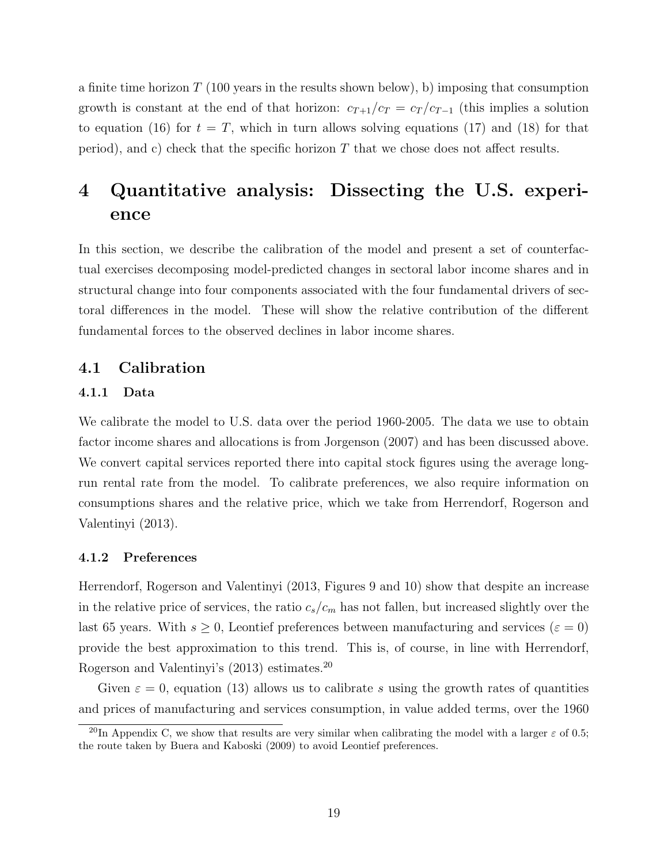a finite time horizon  $T(100 \text{ years in the results shown below}),$  b) imposing that consumption growth is constant at the end of that horizon:  $c_{T+1}/c_T = c_T/c_{T-1}$  (this implies a solution to equation (16) for  $t = T$ , which in turn allows solving equations (17) and (18) for that period), and c) check that the specific horizon  $T$  that we chose does not affect results.

# 4 Quantitative analysis: Dissecting the U.S. experience

In this section, we describe the calibration of the model and present a set of counterfactual exercises decomposing model-predicted changes in sectoral labor income shares and in structural change into four components associated with the four fundamental drivers of sectoral differences in the model. These will show the relative contribution of the different fundamental forces to the observed declines in labor income shares.

### 4.1 Calibration

#### 4.1.1 Data

We calibrate the model to U.S. data over the period 1960-2005. The data we use to obtain factor income shares and allocations is from Jorgenson (2007) and has been discussed above. We convert capital services reported there into capital stock figures using the average longrun rental rate from the model. To calibrate preferences, we also require information on consumptions shares and the relative price, which we take from Herrendorf, Rogerson and Valentinyi (2013).

#### 4.1.2 Preferences

Herrendorf, Rogerson and Valentinyi (2013, Figures 9 and 10) show that despite an increase in the relative price of services, the ratio  $c_s/c_m$  has not fallen, but increased slightly over the last 65 years. With  $s \geq 0$ , Leontief preferences between manufacturing and services ( $\varepsilon = 0$ ) provide the best approximation to this trend. This is, of course, in line with Herrendorf, Rogerson and Valentinyi's (2013) estimates.<sup>20</sup>

Given  $\varepsilon = 0$ , equation (13) allows us to calibrate s using the growth rates of quantities and prices of manufacturing and services consumption, in value added terms, over the 1960

<sup>&</sup>lt;sup>20</sup>In Appendix C, we show that results are very similar when calibrating the model with a larger  $\varepsilon$  of 0.5; the route taken by Buera and Kaboski (2009) to avoid Leontief preferences.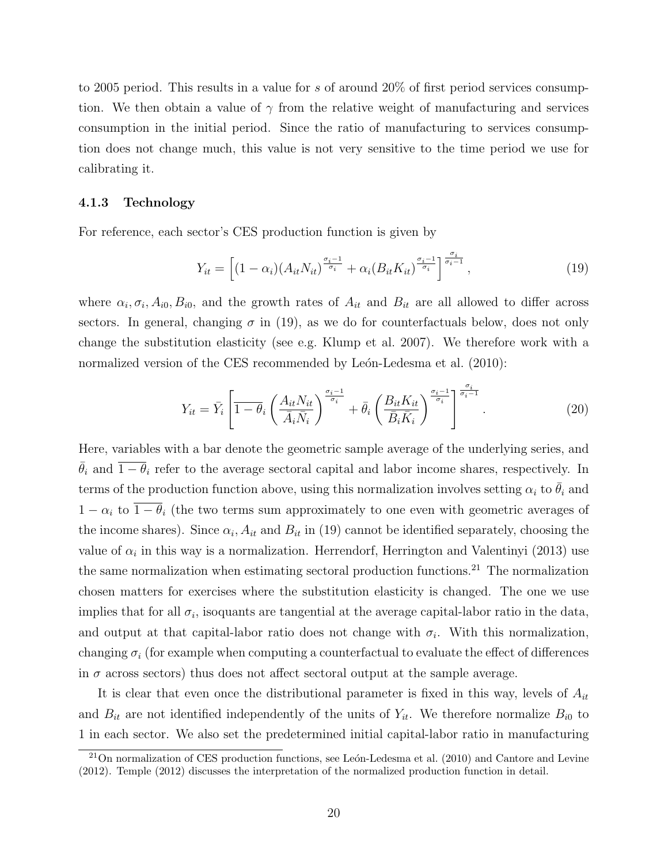to 2005 period. This results in a value for s of around 20% of first period services consumption. We then obtain a value of  $\gamma$  from the relative weight of manufacturing and services consumption in the initial period. Since the ratio of manufacturing to services consumption does not change much, this value is not very sensitive to the time period we use for calibrating it.

#### 4.1.3 Technology

For reference, each sector's CES production function is given by

$$
Y_{it} = \left[ (1 - \alpha_i)(A_{it} N_{it})^{\frac{\sigma_i - 1}{\sigma_i}} + \alpha_i (B_{it} K_{it})^{\frac{\sigma_i - 1}{\sigma_i}} \right]^{\frac{\sigma_i}{\sigma_i - 1}},\tag{19}
$$

where  $\alpha_i, \sigma_i, A_{i0}, B_{i0}$ , and the growth rates of  $A_{it}$  and  $B_{it}$  are all allowed to differ across sectors. In general, changing  $\sigma$  in (19), as we do for counterfactuals below, does not only change the substitution elasticity (see e.g. Klump et al. 2007). We therefore work with a normalized version of the CES recommended by León-Ledesma et al. (2010):

$$
Y_{it} = \bar{Y}_i \left[ \overline{1 - \theta_i} \left( \frac{A_{it} N_{it}}{\bar{A}_i \bar{N}_i} \right)^{\frac{\sigma_i - 1}{\sigma_i}} + \bar{\theta}_i \left( \frac{B_{it} K_{it}}{\bar{B}_i \bar{K}_i} \right)^{\frac{\sigma_i - 1}{\sigma_i}} \right]^{\frac{\sigma_i}{\sigma_i - 1}}.
$$
 (20)

Here, variables with a bar denote the geometric sample average of the underlying series, and  $\bar{\theta}_i$  and  $\bar{1} - \theta_i$  refer to the average sectoral capital and labor income shares, respectively. In terms of the production function above, using this normalization involves setting  $\alpha_i$  to  $\bar{\theta}_i$  and  $1 - \alpha_i$  to  $\overline{1 - \theta_i}$  (the two terms sum approximately to one even with geometric averages of the income shares). Since  $\alpha_i$ ,  $A_{it}$  and  $B_{it}$  in (19) cannot be identified separately, choosing the value of  $\alpha_i$  in this way is a normalization. Herrendorf, Herrington and Valentinyi (2013) use the same normalization when estimating sectoral production functions.<sup>21</sup> The normalization chosen matters for exercises where the substitution elasticity is changed. The one we use implies that for all  $\sigma_i$ , isoquants are tangential at the average capital-labor ratio in the data, and output at that capital-labor ratio does not change with  $\sigma_i$ . With this normalization, changing  $\sigma_i$  (for example when computing a counterfactual to evaluate the effect of differences in  $\sigma$  across sectors) thus does not affect sectoral output at the sample average.

It is clear that even once the distributional parameter is fixed in this way, levels of  $A_{it}$ and  $B_{it}$  are not identified independently of the units of  $Y_{it}$ . We therefore normalize  $B_{i0}$  to 1 in each sector. We also set the predetermined initial capital-labor ratio in manufacturing

 $^{21}$ On normalization of CES production functions, see León-Ledesma et al. (2010) and Cantore and Levine (2012). Temple (2012) discusses the interpretation of the normalized production function in detail.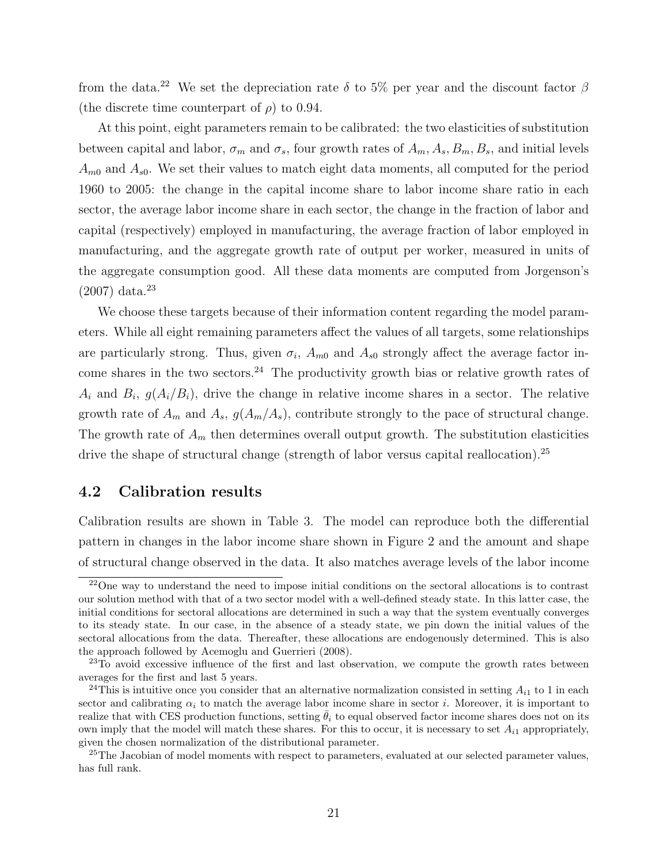from the data.<sup>22</sup> We set the depreciation rate  $\delta$  to 5% per year and the discount factor  $\beta$ (the discrete time counterpart of  $\rho$ ) to 0.94.

At this point, eight parameters remain to be calibrated: the two elasticities of substitution between capital and labor,  $\sigma_m$  and  $\sigma_s$ , four growth rates of  $A_m$ ,  $A_s$ ,  $B_m$ ,  $B_s$ , and initial levels  $A_{m0}$  and  $A_{s0}$ . We set their values to match eight data moments, all computed for the period 1960 to 2005: the change in the capital income share to labor income share ratio in each sector, the average labor income share in each sector, the change in the fraction of labor and capital (respectively) employed in manufacturing, the average fraction of labor employed in manufacturing, and the aggregate growth rate of output per worker, measured in units of the aggregate consumption good. All these data moments are computed from Jorgenson's  $(2007)$  data.<sup>23</sup>

We choose these targets because of their information content regarding the model parameters. While all eight remaining parameters affect the values of all targets, some relationships are particularly strong. Thus, given  $\sigma_i$ ,  $A_{m0}$  and  $A_{s0}$  strongly affect the average factor income shares in the two sectors.<sup>24</sup> The productivity growth bias or relative growth rates of  $A_i$  and  $B_i$ ,  $g(A_i/B_i)$ , drive the change in relative income shares in a sector. The relative growth rate of  $A_m$  and  $A_s$ ,  $g(A_m/A_s)$ , contribute strongly to the pace of structural change. The growth rate of  $A_m$  then determines overall output growth. The substitution elasticities drive the shape of structural change (strength of labor versus capital reallocation).<sup>25</sup>

## 4.2 Calibration results

Calibration results are shown in Table 3. The model can reproduce both the differential pattern in changes in the labor income share shown in Figure 2 and the amount and shape of structural change observed in the data. It also matches average levels of the labor income

<sup>&</sup>lt;sup>22</sup>One way to understand the need to impose initial conditions on the sectoral allocations is to contrast our solution method with that of a two sector model with a well-defined steady state. In this latter case, the initial conditions for sectoral allocations are determined in such a way that the system eventually converges to its steady state. In our case, in the absence of a steady state, we pin down the initial values of the sectoral allocations from the data. Thereafter, these allocations are endogenously determined. This is also the approach followed by Acemoglu and Guerrieri (2008).

<sup>&</sup>lt;sup>23</sup>To avoid excessive influence of the first and last observation, we compute the growth rates between averages for the first and last 5 years.

<sup>&</sup>lt;sup>24</sup>This is intuitive once you consider that an alternative normalization consisted in setting  $A_{i1}$  to 1 in each sector and calibrating  $\alpha_i$  to match the average labor income share in sector i. Moreover, it is important to realize that with CES production functions, setting  $\hat{\theta}_i$  to equal observed factor income shares does not on its own imply that the model will match these shares. For this to occur, it is necessary to set  $A_{i1}$  appropriately, given the chosen normalization of the distributional parameter.

<sup>&</sup>lt;sup>25</sup>The Jacobian of model moments with respect to parameters, evaluated at our selected parameter values, has full rank.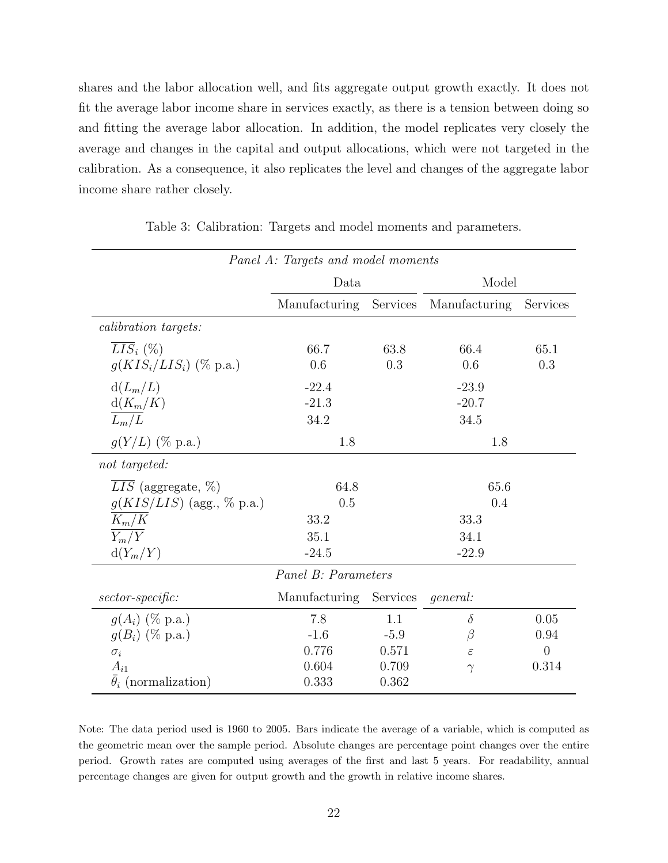shares and the labor allocation well, and fits aggregate output growth exactly. It does not fit the average labor income share in services exactly, as there is a tension between doing so and fitting the average labor allocation. In addition, the model replicates very closely the average and changes in the capital and output allocations, which were not targeted in the calibration. As a consequence, it also replicates the level and changes of the aggregate labor income share rather closely.

| Panel A: Targets and model moments |                     |                   |                 |                |  |  |  |  |
|------------------------------------|---------------------|-------------------|-----------------|----------------|--|--|--|--|
|                                    | Data                |                   | Model           |                |  |  |  |  |
|                                    | Manufacturing       | Services          | Manufacturing   | Services       |  |  |  |  |
| <i>calibration targets:</i>        |                     |                   |                 |                |  |  |  |  |
| $LIS_i(\%)$                        | 66.7                | 63.8              | 66.4            | 65.1           |  |  |  |  |
| $g(KIS_i/LIS_i)$ (% p.a.)          | 0.6                 | 0.3               | 0.6             | 0.3            |  |  |  |  |
| $d(L_m/L)$                         | $-22.4$             |                   | $-23.9$         |                |  |  |  |  |
| $d(K_m/K)$                         | $-21.3$             |                   | $-20.7$         |                |  |  |  |  |
| $\overline{L_m/L}$                 | 34.2                |                   | 34.5            |                |  |  |  |  |
| $g(Y/L)$ (% p.a.)                  | 1.8                 |                   | 1.8             |                |  |  |  |  |
| not targeted:                      |                     |                   |                 |                |  |  |  |  |
| $\overline{LIS}$ (aggregate, %)    | 64.8                |                   | 65.6            |                |  |  |  |  |
| $g(KIS/LIS)$ (agg., % p.a.)        | 0.5                 |                   | 0.4             |                |  |  |  |  |
| $K_m/K$                            | 33.2                |                   | 33.3            |                |  |  |  |  |
| $\overline{Y_m/Y}$                 | 35.1                |                   | 34.1            |                |  |  |  |  |
| $d(Y_m/Y)$                         | $-24.5$             |                   | $-22.9$         |                |  |  |  |  |
|                                    | Panel B: Parameters |                   |                 |                |  |  |  |  |
| $sector-specific:$                 | Manufacturing       | Services          | <i>general:</i> |                |  |  |  |  |
| $g(A_i)$ (% p.a.)                  | 7.8                 | 1.1               | $\delta$        | 0.05           |  |  |  |  |
| $q(B_i)$ (% p.a.)                  | $-1.6$              | $\beta$<br>$-5.9$ |                 | 0.94           |  |  |  |  |
| $\sigma_i$                         | 0.776               | 0.571             | $\varepsilon$   | $\overline{0}$ |  |  |  |  |
| $A_{i1}$                           | 0.604               | 0.709             | $\gamma$        | 0.314          |  |  |  |  |
| $\bar{\theta}_i$ (normalization)   | 0.333               | 0.362             |                 |                |  |  |  |  |

Table 3: Calibration: Targets and model moments and parameters.

Note: The data period used is 1960 to 2005. Bars indicate the average of a variable, which is computed as the geometric mean over the sample period. Absolute changes are percentage point changes over the entire period. Growth rates are computed using averages of the first and last 5 years. For readability, annual percentage changes are given for output growth and the growth in relative income shares.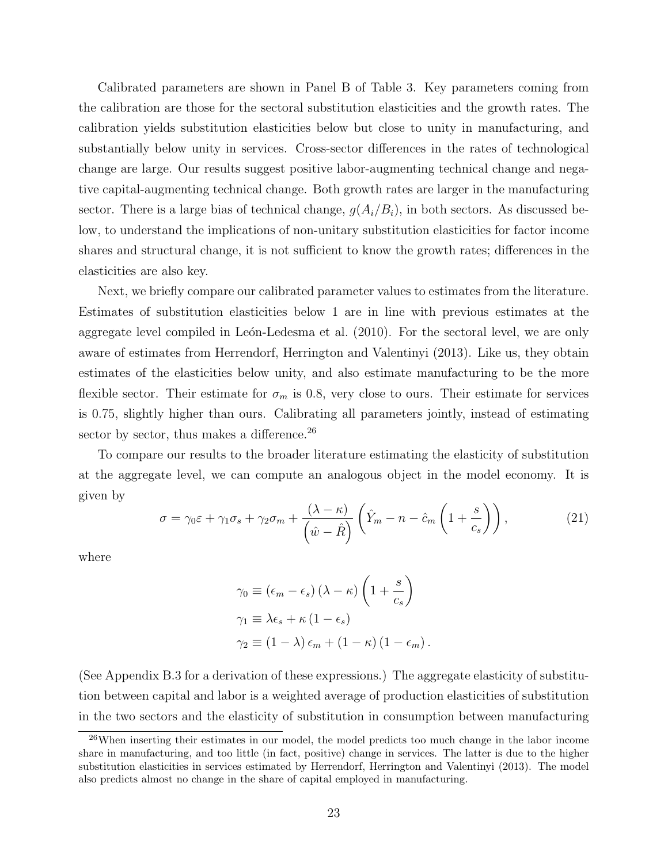Calibrated parameters are shown in Panel B of Table 3. Key parameters coming from the calibration are those for the sectoral substitution elasticities and the growth rates. The calibration yields substitution elasticities below but close to unity in manufacturing, and substantially below unity in services. Cross-sector differences in the rates of technological change are large. Our results suggest positive labor-augmenting technical change and negative capital-augmenting technical change. Both growth rates are larger in the manufacturing sector. There is a large bias of technical change,  $g(A_i/B_i)$ , in both sectors. As discussed below, to understand the implications of non-unitary substitution elasticities for factor income shares and structural change, it is not sufficient to know the growth rates; differences in the elasticities are also key.

Next, we briefly compare our calibrated parameter values to estimates from the literature. Estimates of substitution elasticities below 1 are in line with previous estimates at the aggregate level compiled in León-Ledesma et al. (2010). For the sectoral level, we are only aware of estimates from Herrendorf, Herrington and Valentinyi (2013). Like us, they obtain estimates of the elasticities below unity, and also estimate manufacturing to be the more flexible sector. Their estimate for  $\sigma_m$  is 0.8, very close to ours. Their estimate for services is 0.75, slightly higher than ours. Calibrating all parameters jointly, instead of estimating sector by sector, thus makes a difference.<sup>26</sup>

To compare our results to the broader literature estimating the elasticity of substitution at the aggregate level, we can compute an analogous object in the model economy. It is given by

$$
\sigma = \gamma_0 \varepsilon + \gamma_1 \sigma_s + \gamma_2 \sigma_m + \frac{(\lambda - \kappa)}{\left(\hat{w} - \hat{R}\right)} \left(\hat{Y}_m - n - \hat{c}_m \left(1 + \frac{s}{c_s}\right)\right),\tag{21}
$$

where

$$
\gamma_0 \equiv (\epsilon_m - \epsilon_s) (\lambda - \kappa) \left( 1 + \frac{s}{c_s} \right)
$$
  
\n
$$
\gamma_1 \equiv \lambda \epsilon_s + \kappa (1 - \epsilon_s)
$$
  
\n
$$
\gamma_2 \equiv (1 - \lambda) \epsilon_m + (1 - \kappa) (1 - \epsilon_m).
$$

(See Appendix B.3 for a derivation of these expressions.) The aggregate elasticity of substitution between capital and labor is a weighted average of production elasticities of substitution in the two sectors and the elasticity of substitution in consumption between manufacturing

<sup>&</sup>lt;sup>26</sup>When inserting their estimates in our model, the model predicts too much change in the labor income share in manufacturing, and too little (in fact, positive) change in services. The latter is due to the higher substitution elasticities in services estimated by Herrendorf, Herrington and Valentinyi (2013). The model also predicts almost no change in the share of capital employed in manufacturing.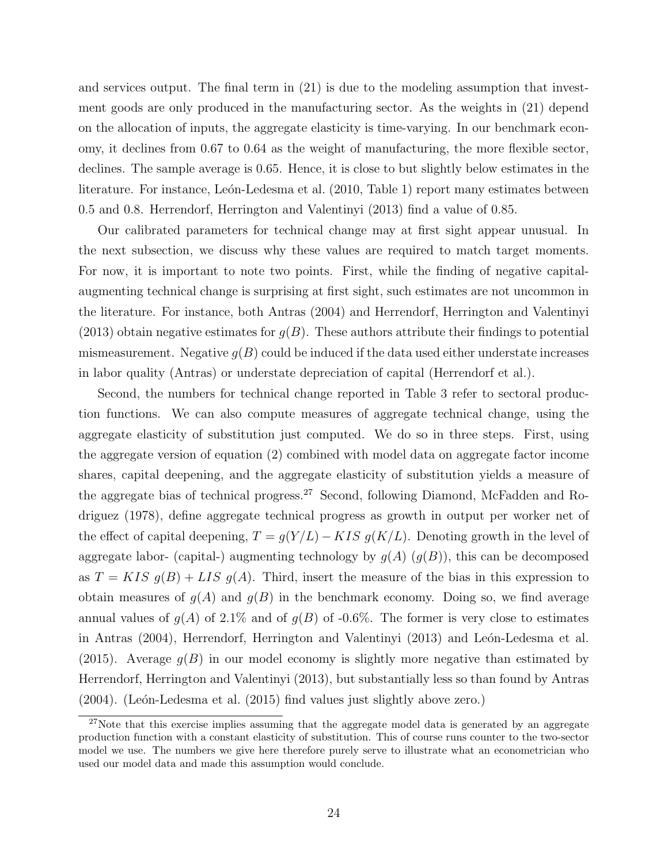and services output. The final term in (21) is due to the modeling assumption that investment goods are only produced in the manufacturing sector. As the weights in (21) depend on the allocation of inputs, the aggregate elasticity is time-varying. In our benchmark economy, it declines from 0.67 to 0.64 as the weight of manufacturing, the more flexible sector, declines. The sample average is 0.65. Hence, it is close to but slightly below estimates in the literature. For instance, León-Ledesma et al. (2010, Table 1) report many estimates between 0.5 and 0.8. Herrendorf, Herrington and Valentinyi (2013) find a value of 0.85.

Our calibrated parameters for technical change may at first sight appear unusual. In the next subsection, we discuss why these values are required to match target moments. For now, it is important to note two points. First, while the finding of negative capitalaugmenting technical change is surprising at first sight, such estimates are not uncommon in the literature. For instance, both Antras (2004) and Herrendorf, Herrington and Valentinyi  $(2013)$  obtain negative estimates for  $g(B)$ . These authors attribute their findings to potential mismeasurement. Negative  $g(B)$  could be induced if the data used either understate increases in labor quality (Antras) or understate depreciation of capital (Herrendorf et al.).

Second, the numbers for technical change reported in Table 3 refer to sectoral production functions. We can also compute measures of aggregate technical change, using the aggregate elasticity of substitution just computed. We do so in three steps. First, using the aggregate version of equation (2) combined with model data on aggregate factor income shares, capital deepening, and the aggregate elasticity of substitution yields a measure of the aggregate bias of technical progress.<sup>27</sup> Second, following Diamond, McFadden and Rodriguez (1978), define aggregate technical progress as growth in output per worker net of the effect of capital deepening,  $T = g(Y/L) - KIS g(K/L)$ . Denoting growth in the level of aggregate labor- (capital-) augmenting technology by  $g(A)$   $(g(B))$ , this can be decomposed as  $T = KIS g(B) + LIS g(A)$ . Third, insert the measure of the bias in this expression to obtain measures of  $g(A)$  and  $g(B)$  in the benchmark economy. Doing so, we find average annual values of  $g(A)$  of 2.1% and of  $g(B)$  of -0.6%. The former is very close to estimates in Antras (2004), Herrendorf, Herrington and Valentinyi (2013) and León-Ledesma et al. (2015). Average  $g(B)$  in our model economy is slightly more negative than estimated by Herrendorf, Herrington and Valentinyi (2013), but substantially less so than found by Antras  $(2004)$ . (León-Ledesma et al.  $(2015)$  find values just slightly above zero.)

<sup>&</sup>lt;sup>27</sup>Note that this exercise implies assuming that the aggregate model data is generated by an aggregate production function with a constant elasticity of substitution. This of course runs counter to the two-sector model we use. The numbers we give here therefore purely serve to illustrate what an econometrician who used our model data and made this assumption would conclude.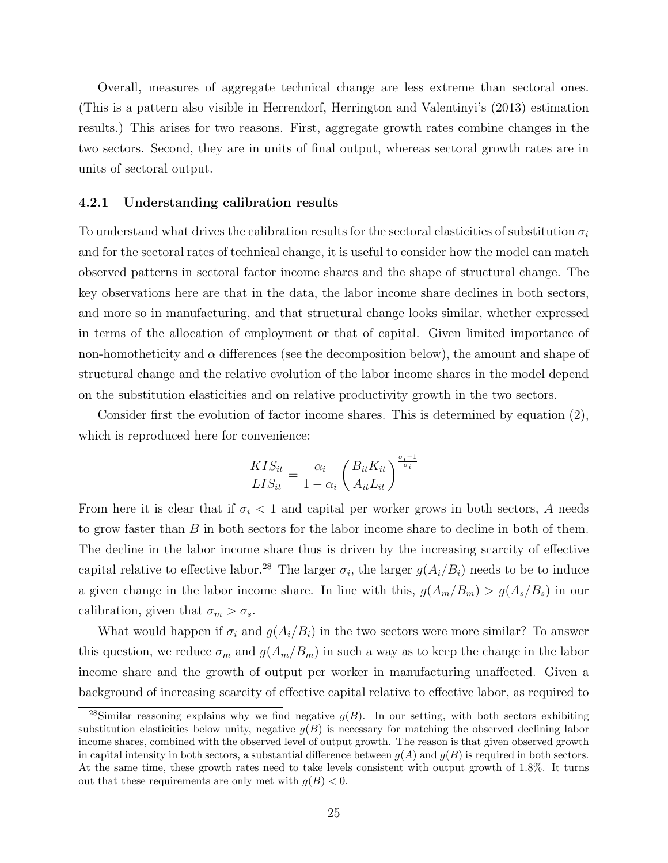Overall, measures of aggregate technical change are less extreme than sectoral ones. (This is a pattern also visible in Herrendorf, Herrington and Valentinyi's (2013) estimation results.) This arises for two reasons. First, aggregate growth rates combine changes in the two sectors. Second, they are in units of final output, whereas sectoral growth rates are in units of sectoral output.

#### 4.2.1 Understanding calibration results

To understand what drives the calibration results for the sectoral elasticities of substitution  $\sigma_i$ and for the sectoral rates of technical change, it is useful to consider how the model can match observed patterns in sectoral factor income shares and the shape of structural change. The key observations here are that in the data, the labor income share declines in both sectors, and more so in manufacturing, and that structural change looks similar, whether expressed in terms of the allocation of employment or that of capital. Given limited importance of non-homotheticity and  $\alpha$  differences (see the decomposition below), the amount and shape of structural change and the relative evolution of the labor income shares in the model depend on the substitution elasticities and on relative productivity growth in the two sectors.

Consider first the evolution of factor income shares. This is determined by equation (2), which is reproduced here for convenience:

$$
\frac{KIS_{it}}{LIS_{it}} = \frac{\alpha_i}{1 - \alpha_i} \left( \frac{B_{it}K_{it}}{A_{it}L_{it}} \right)^{\frac{\sigma_i - 1}{\sigma_i}}
$$

From here it is clear that if  $\sigma_i$  < 1 and capital per worker grows in both sectors, A needs to grow faster than B in both sectors for the labor income share to decline in both of them. The decline in the labor income share thus is driven by the increasing scarcity of effective capital relative to effective labor.<sup>28</sup> The larger  $\sigma_i$ , the larger  $g(A_i/B_i)$  needs to be to induce a given change in the labor income share. In line with this,  $g(A_m/B_m) > g(A_s/B_s)$  in our calibration, given that  $\sigma_m > \sigma_s$ .

What would happen if  $\sigma_i$  and  $g(A_i/B_i)$  in the two sectors were more similar? To answer this question, we reduce  $\sigma_m$  and  $g(A_m/B_m)$  in such a way as to keep the change in the labor income share and the growth of output per worker in manufacturing unaffected. Given a background of increasing scarcity of effective capital relative to effective labor, as required to

<sup>&</sup>lt;sup>28</sup>Similar reasoning explains why we find negative  $q(B)$ . In our setting, with both sectors exhibiting substitution elasticities below unity, negative  $g(B)$  is necessary for matching the observed declining labor income shares, combined with the observed level of output growth. The reason is that given observed growth in capital intensity in both sectors, a substantial difference between  $g(A)$  and  $g(B)$  is required in both sectors. At the same time, these growth rates need to take levels consistent with output growth of 1.8%. It turns out that these requirements are only met with  $q(B) < 0$ .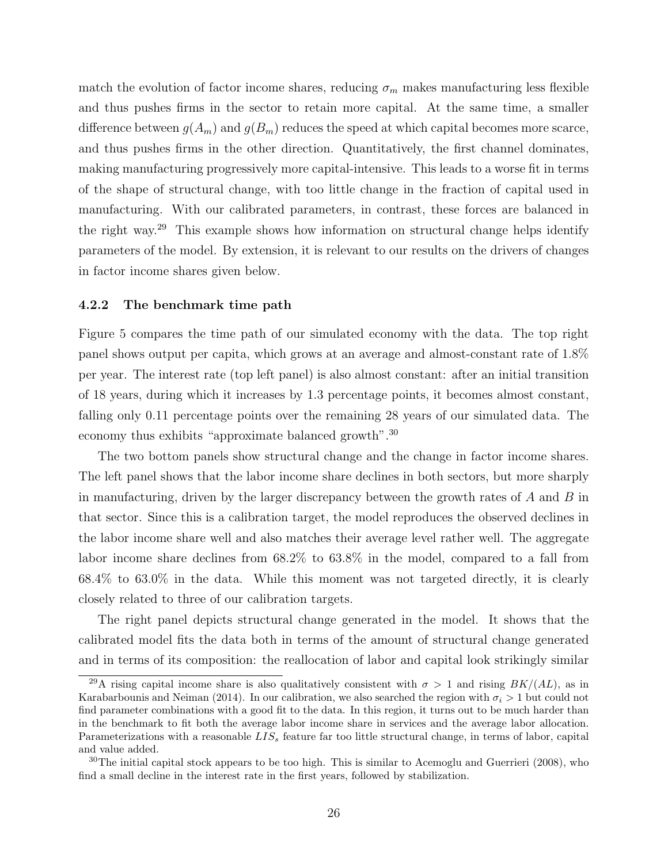match the evolution of factor income shares, reducing  $\sigma_m$  makes manufacturing less flexible and thus pushes firms in the sector to retain more capital. At the same time, a smaller difference between  $g(A_m)$  and  $g(B_m)$  reduces the speed at which capital becomes more scarce, and thus pushes firms in the other direction. Quantitatively, the first channel dominates, making manufacturing progressively more capital-intensive. This leads to a worse fit in terms of the shape of structural change, with too little change in the fraction of capital used in manufacturing. With our calibrated parameters, in contrast, these forces are balanced in the right way.<sup>29</sup> This example shows how information on structural change helps identify parameters of the model. By extension, it is relevant to our results on the drivers of changes in factor income shares given below.

#### 4.2.2 The benchmark time path

Figure 5 compares the time path of our simulated economy with the data. The top right panel shows output per capita, which grows at an average and almost-constant rate of 1.8% per year. The interest rate (top left panel) is also almost constant: after an initial transition of 18 years, during which it increases by 1.3 percentage points, it becomes almost constant, falling only 0.11 percentage points over the remaining 28 years of our simulated data. The economy thus exhibits "approximate balanced growth".<sup>30</sup>

The two bottom panels show structural change and the change in factor income shares. The left panel shows that the labor income share declines in both sectors, but more sharply in manufacturing, driven by the larger discrepancy between the growth rates of  $A$  and  $B$  in that sector. Since this is a calibration target, the model reproduces the observed declines in the labor income share well and also matches their average level rather well. The aggregate labor income share declines from 68.2% to 63.8% in the model, compared to a fall from 68.4% to 63.0% in the data. While this moment was not targeted directly, it is clearly closely related to three of our calibration targets.

The right panel depicts structural change generated in the model. It shows that the calibrated model fits the data both in terms of the amount of structural change generated and in terms of its composition: the reallocation of labor and capital look strikingly similar

<sup>&</sup>lt;sup>29</sup>A rising capital income share is also qualitatively consistent with  $\sigma > 1$  and rising  $BK/(AL)$ , as in Karabarbounis and Neiman (2014). In our calibration, we also searched the region with  $\sigma_i > 1$  but could not find parameter combinations with a good fit to the data. In this region, it turns out to be much harder than in the benchmark to fit both the average labor income share in services and the average labor allocation. Parameterizations with a reasonable  $LIS<sub>s</sub>$  feature far too little structural change, in terms of labor, capital and value added.

 $30$ The initial capital stock appears to be too high. This is similar to Acemoglu and Guerrieri (2008), who find a small decline in the interest rate in the first years, followed by stabilization.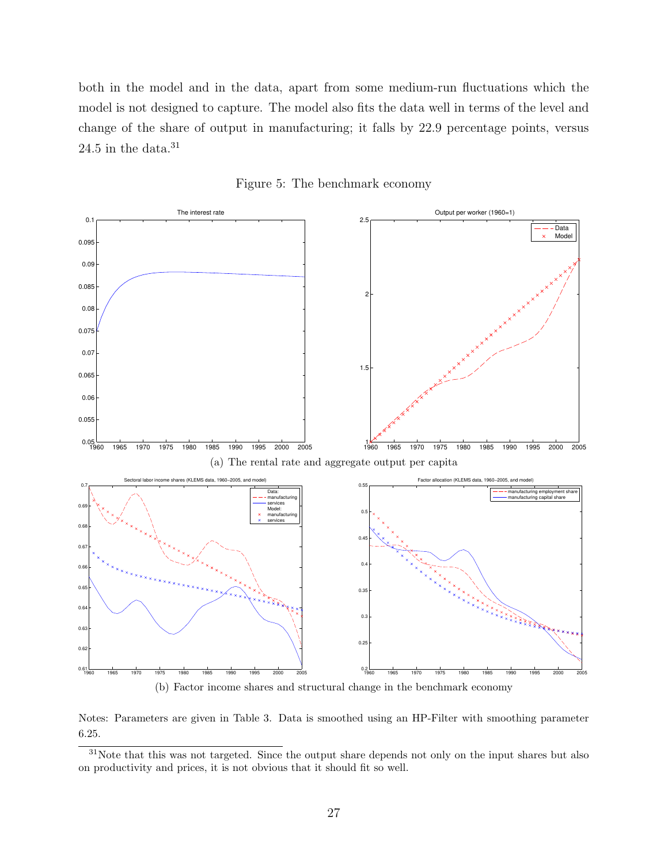both in the model and in the data, apart from some medium-run fluctuations which the model is not designed to capture. The model also fits the data well in terms of the level and change of the share of output in manufacturing; it falls by 22.9 percentage points, versus 24.5 in the data. $31$ 





(b) Factor income shares and structural change in the benchmark economy

Notes: Parameters are given in Table 3. Data is smoothed using an HP-Filter with smoothing parameter 6.25.

<sup>31</sup>Note that this was not targeted. Since the output share depends not only on the input shares but also on productivity and prices, it is not obvious that it should fit so well.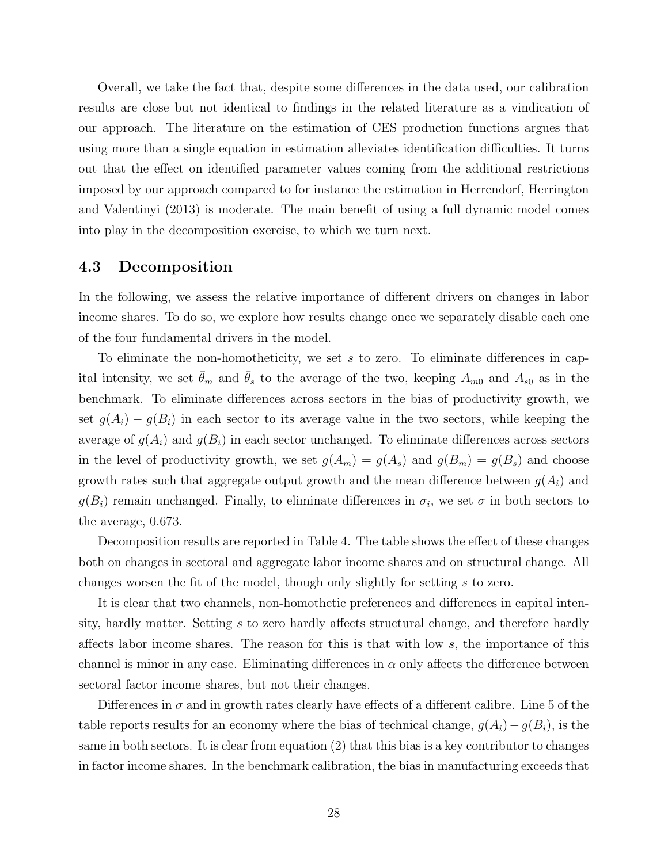Overall, we take the fact that, despite some differences in the data used, our calibration results are close but not identical to findings in the related literature as a vindication of our approach. The literature on the estimation of CES production functions argues that using more than a single equation in estimation alleviates identification difficulties. It turns out that the effect on identified parameter values coming from the additional restrictions imposed by our approach compared to for instance the estimation in Herrendorf, Herrington and Valentinyi (2013) is moderate. The main benefit of using a full dynamic model comes into play in the decomposition exercise, to which we turn next.

### 4.3 Decomposition

In the following, we assess the relative importance of different drivers on changes in labor income shares. To do so, we explore how results change once we separately disable each one of the four fundamental drivers in the model.

To eliminate the non-homotheticity, we set s to zero. To eliminate differences in capital intensity, we set  $\bar{\theta}_m$  and  $\bar{\theta}_s$  to the average of the two, keeping  $A_{m0}$  and  $A_{s0}$  as in the benchmark. To eliminate differences across sectors in the bias of productivity growth, we set  $g(A_i) - g(B_i)$  in each sector to its average value in the two sectors, while keeping the average of  $g(A_i)$  and  $g(B_i)$  in each sector unchanged. To eliminate differences across sectors in the level of productivity growth, we set  $g(A_m) = g(A_s)$  and  $g(B_m) = g(B_s)$  and choose growth rates such that aggregate output growth and the mean difference between  $g(A_i)$  and  $g(B_i)$  remain unchanged. Finally, to eliminate differences in  $\sigma_i$ , we set  $\sigma$  in both sectors to the average, 0.673.

Decomposition results are reported in Table 4. The table shows the effect of these changes both on changes in sectoral and aggregate labor income shares and on structural change. All changes worsen the fit of the model, though only slightly for setting s to zero.

It is clear that two channels, non-homothetic preferences and differences in capital intensity, hardly matter. Setting s to zero hardly affects structural change, and therefore hardly affects labor income shares. The reason for this is that with low s, the importance of this channel is minor in any case. Eliminating differences in  $\alpha$  only affects the difference between sectoral factor income shares, but not their changes.

Differences in  $\sigma$  and in growth rates clearly have effects of a different calibre. Line 5 of the table reports results for an economy where the bias of technical change,  $g(A_i) - g(B_i)$ , is the same in both sectors. It is clear from equation (2) that this bias is a key contributor to changes in factor income shares. In the benchmark calibration, the bias in manufacturing exceeds that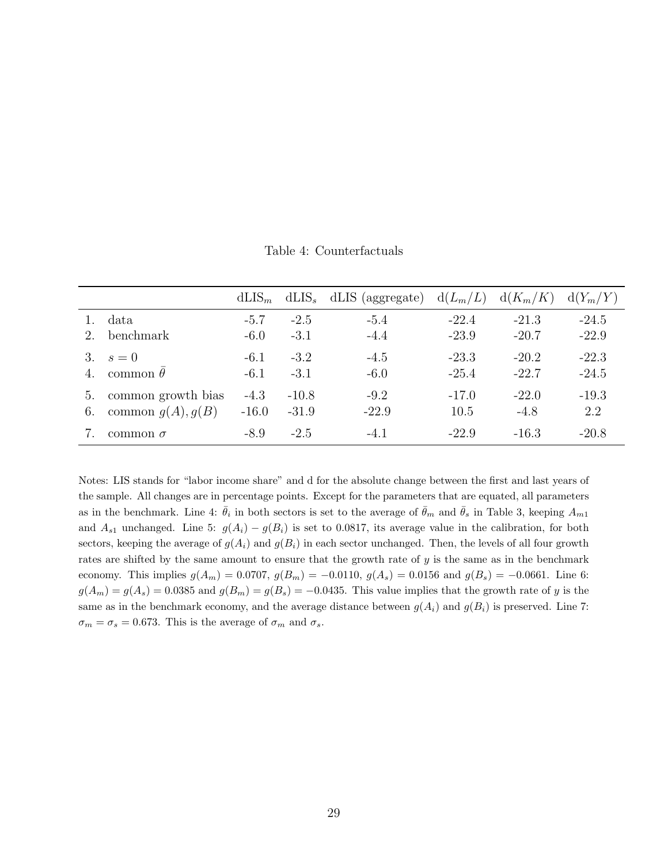Table 4: Counterfactuals

|    |                     | $dLIS_{m}$ |         | $dLIS_s$ dLIS (aggregate) | $d(L_m/L)$ | $d(K_m/K)$ | $d(Y_m/Y)$ |
|----|---------------------|------------|---------|---------------------------|------------|------------|------------|
|    | data                | $-5.7$     | $-2.5$  | $-5.4$                    | $-22.4$    | $-21.3$    | $-24.5$    |
|    | benchmark           | $-6.0$     | $-3.1$  | $-4.4$                    | $-23.9$    | $-20.7$    | $-22.9$    |
| 3. | $s=0$               | $-6.1$     | $-3.2$  | $-4.5$                    | $-23.3$    | $-20.2$    | $-22.3$    |
| 4. | common $\theta$     | $-6.1$     | $-3.1$  | $-6.0$                    | $-25.4$    | $-22.7$    | $-24.5$    |
| b. | common growth bias  | $-4.3$     | $-10.8$ | $-9.2$                    | $-17.0$    | $-22.0$    | $-19.3$    |
| 6. | common $g(A), g(B)$ | $-16.0$    | $-31.9$ | $-22.9$                   | 10.5       | $-4.8$     | 2.2        |
|    | common $\sigma$     | $-8.9$     | $-2.5$  | $-4.1$                    | $-22.9$    | $-16.3$    | $-20.8$    |

Notes: LIS stands for "labor income share" and d for the absolute change between the first and last years of the sample. All changes are in percentage points. Except for the parameters that are equated, all parameters as in the benchmark. Line 4:  $\bar{\theta}_i$  in both sectors is set to the average of  $\bar{\theta}_m$  and  $\bar{\theta}_s$  in Table 3, keeping  $A_{m1}$ and  $A_{s1}$  unchanged. Line 5:  $g(A_i) - g(B_i)$  is set to 0.0817, its average value in the calibration, for both sectors, keeping the average of  $g(A_i)$  and  $g(B_i)$  in each sector unchanged. Then, the levels of all four growth rates are shifted by the same amount to ensure that the growth rate of y is the same as in the benchmark economy. This implies  $g(A_m) = 0.0707$ ,  $g(B_m) = -0.0110$ ,  $g(A_s) = 0.0156$  and  $g(B_s) = -0.0661$ . Line 6:  $g(A_m) = g(A_s) = 0.0385$  and  $g(B_m) = g(B_s) = -0.0435$ . This value implies that the growth rate of y is the same as in the benchmark economy, and the average distance between  $g(A_i)$  and  $g(B_i)$  is preserved. Line 7:  $\sigma_m = \sigma_s = 0.673$ . This is the average of  $\sigma_m$  and  $\sigma_s$ .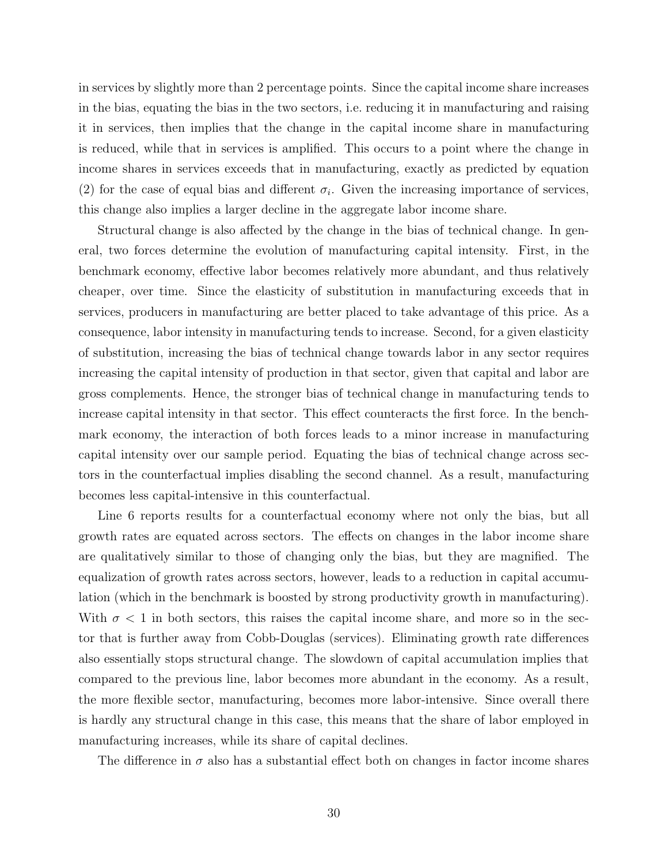in services by slightly more than 2 percentage points. Since the capital income share increases in the bias, equating the bias in the two sectors, i.e. reducing it in manufacturing and raising it in services, then implies that the change in the capital income share in manufacturing is reduced, while that in services is amplified. This occurs to a point where the change in income shares in services exceeds that in manufacturing, exactly as predicted by equation (2) for the case of equal bias and different  $\sigma_i$ . Given the increasing importance of services, this change also implies a larger decline in the aggregate labor income share.

Structural change is also affected by the change in the bias of technical change. In general, two forces determine the evolution of manufacturing capital intensity. First, in the benchmark economy, effective labor becomes relatively more abundant, and thus relatively cheaper, over time. Since the elasticity of substitution in manufacturing exceeds that in services, producers in manufacturing are better placed to take advantage of this price. As a consequence, labor intensity in manufacturing tends to increase. Second, for a given elasticity of substitution, increasing the bias of technical change towards labor in any sector requires increasing the capital intensity of production in that sector, given that capital and labor are gross complements. Hence, the stronger bias of technical change in manufacturing tends to increase capital intensity in that sector. This effect counteracts the first force. In the benchmark economy, the interaction of both forces leads to a minor increase in manufacturing capital intensity over our sample period. Equating the bias of technical change across sectors in the counterfactual implies disabling the second channel. As a result, manufacturing becomes less capital-intensive in this counterfactual.

Line 6 reports results for a counterfactual economy where not only the bias, but all growth rates are equated across sectors. The effects on changes in the labor income share are qualitatively similar to those of changing only the bias, but they are magnified. The equalization of growth rates across sectors, however, leads to a reduction in capital accumulation (which in the benchmark is boosted by strong productivity growth in manufacturing). With  $\sigma$  < 1 in both sectors, this raises the capital income share, and more so in the sector that is further away from Cobb-Douglas (services). Eliminating growth rate differences also essentially stops structural change. The slowdown of capital accumulation implies that compared to the previous line, labor becomes more abundant in the economy. As a result, the more flexible sector, manufacturing, becomes more labor-intensive. Since overall there is hardly any structural change in this case, this means that the share of labor employed in manufacturing increases, while its share of capital declines.

The difference in  $\sigma$  also has a substantial effect both on changes in factor income shares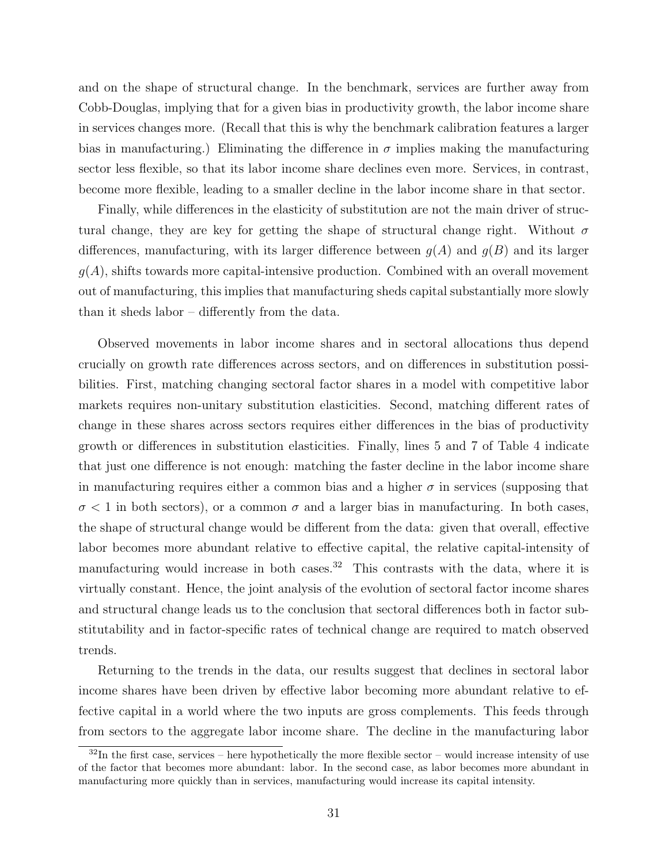and on the shape of structural change. In the benchmark, services are further away from Cobb-Douglas, implying that for a given bias in productivity growth, the labor income share in services changes more. (Recall that this is why the benchmark calibration features a larger bias in manufacturing.) Eliminating the difference in  $\sigma$  implies making the manufacturing sector less flexible, so that its labor income share declines even more. Services, in contrast, become more flexible, leading to a smaller decline in the labor income share in that sector.

Finally, while differences in the elasticity of substitution are not the main driver of structural change, they are key for getting the shape of structural change right. Without  $\sigma$ differences, manufacturing, with its larger difference between  $g(A)$  and  $g(B)$  and its larger  $g(A)$ , shifts towards more capital-intensive production. Combined with an overall movement out of manufacturing, this implies that manufacturing sheds capital substantially more slowly than it sheds labor – differently from the data.

Observed movements in labor income shares and in sectoral allocations thus depend crucially on growth rate differences across sectors, and on differences in substitution possibilities. First, matching changing sectoral factor shares in a model with competitive labor markets requires non-unitary substitution elasticities. Second, matching different rates of change in these shares across sectors requires either differences in the bias of productivity growth or differences in substitution elasticities. Finally, lines 5 and 7 of Table 4 indicate that just one difference is not enough: matching the faster decline in the labor income share in manufacturing requires either a common bias and a higher  $\sigma$  in services (supposing that  $\sigma$  < 1 in both sectors), or a common  $\sigma$  and a larger bias in manufacturing. In both cases, the shape of structural change would be different from the data: given that overall, effective labor becomes more abundant relative to effective capital, the relative capital-intensity of manufacturing would increase in both cases.<sup>32</sup> This contrasts with the data, where it is virtually constant. Hence, the joint analysis of the evolution of sectoral factor income shares and structural change leads us to the conclusion that sectoral differences both in factor substitutability and in factor-specific rates of technical change are required to match observed trends.

Returning to the trends in the data, our results suggest that declines in sectoral labor income shares have been driven by effective labor becoming more abundant relative to effective capital in a world where the two inputs are gross complements. This feeds through from sectors to the aggregate labor income share. The decline in the manufacturing labor

 $32$ In the first case, services – here hypothetically the more flexible sector – would increase intensity of use of the factor that becomes more abundant: labor. In the second case, as labor becomes more abundant in manufacturing more quickly than in services, manufacturing would increase its capital intensity.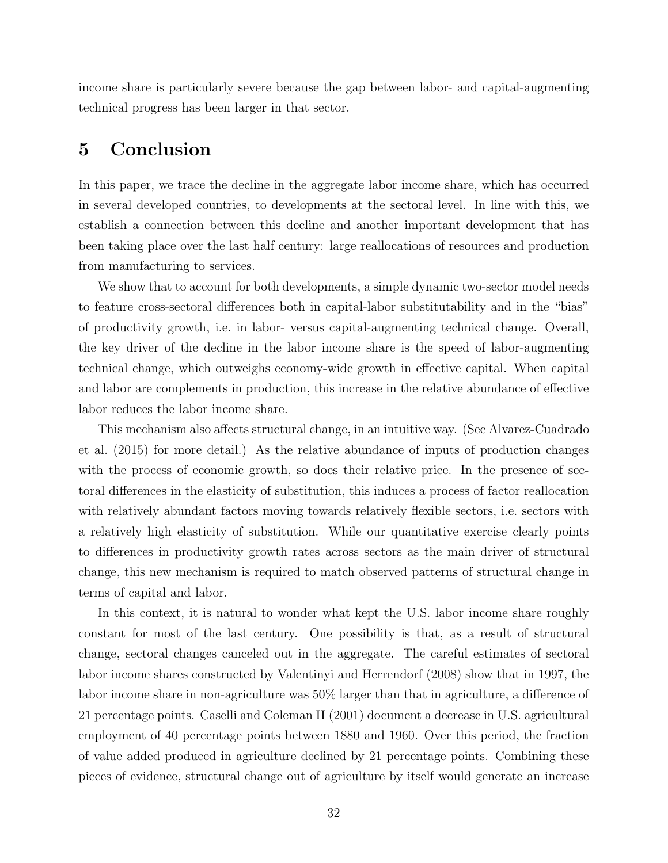income share is particularly severe because the gap between labor- and capital-augmenting technical progress has been larger in that sector.

# 5 Conclusion

In this paper, we trace the decline in the aggregate labor income share, which has occurred in several developed countries, to developments at the sectoral level. In line with this, we establish a connection between this decline and another important development that has been taking place over the last half century: large reallocations of resources and production from manufacturing to services.

We show that to account for both developments, a simple dynamic two-sector model needs to feature cross-sectoral differences both in capital-labor substitutability and in the "bias" of productivity growth, i.e. in labor- versus capital-augmenting technical change. Overall, the key driver of the decline in the labor income share is the speed of labor-augmenting technical change, which outweighs economy-wide growth in effective capital. When capital and labor are complements in production, this increase in the relative abundance of effective labor reduces the labor income share.

This mechanism also affects structural change, in an intuitive way. (See Alvarez-Cuadrado et al. (2015) for more detail.) As the relative abundance of inputs of production changes with the process of economic growth, so does their relative price. In the presence of sectoral differences in the elasticity of substitution, this induces a process of factor reallocation with relatively abundant factors moving towards relatively flexible sectors, i.e. sectors with a relatively high elasticity of substitution. While our quantitative exercise clearly points to differences in productivity growth rates across sectors as the main driver of structural change, this new mechanism is required to match observed patterns of structural change in terms of capital and labor.

In this context, it is natural to wonder what kept the U.S. labor income share roughly constant for most of the last century. One possibility is that, as a result of structural change, sectoral changes canceled out in the aggregate. The careful estimates of sectoral labor income shares constructed by Valentinyi and Herrendorf (2008) show that in 1997, the labor income share in non-agriculture was 50% larger than that in agriculture, a difference of 21 percentage points. Caselli and Coleman II (2001) document a decrease in U.S. agricultural employment of 40 percentage points between 1880 and 1960. Over this period, the fraction of value added produced in agriculture declined by 21 percentage points. Combining these pieces of evidence, structural change out of agriculture by itself would generate an increase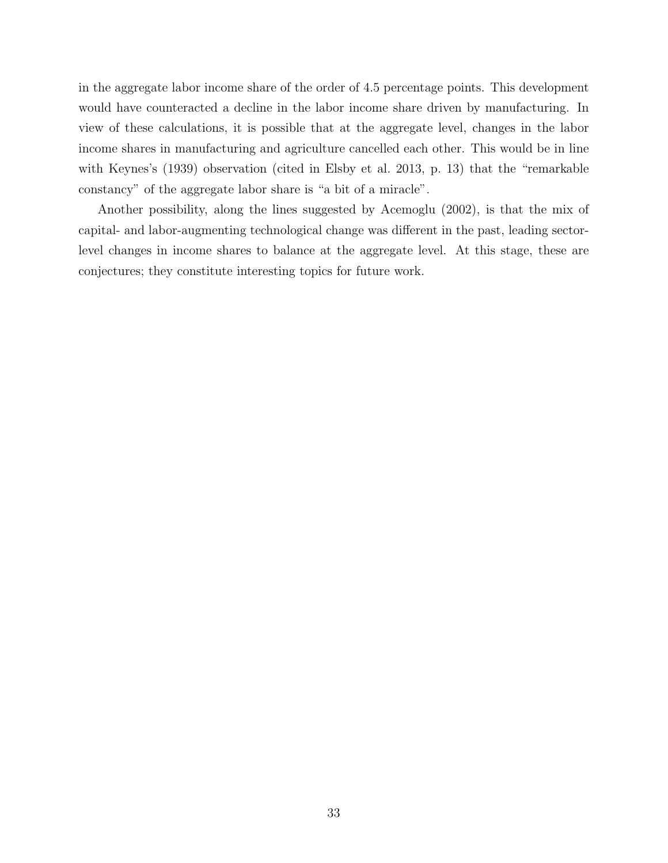in the aggregate labor income share of the order of 4.5 percentage points. This development would have counteracted a decline in the labor income share driven by manufacturing. In view of these calculations, it is possible that at the aggregate level, changes in the labor income shares in manufacturing and agriculture cancelled each other. This would be in line with Keynes's (1939) observation (cited in Elsby et al. 2013, p. 13) that the "remarkable constancy" of the aggregate labor share is "a bit of a miracle".

Another possibility, along the lines suggested by Acemoglu (2002), is that the mix of capital- and labor-augmenting technological change was different in the past, leading sectorlevel changes in income shares to balance at the aggregate level. At this stage, these are conjectures; they constitute interesting topics for future work.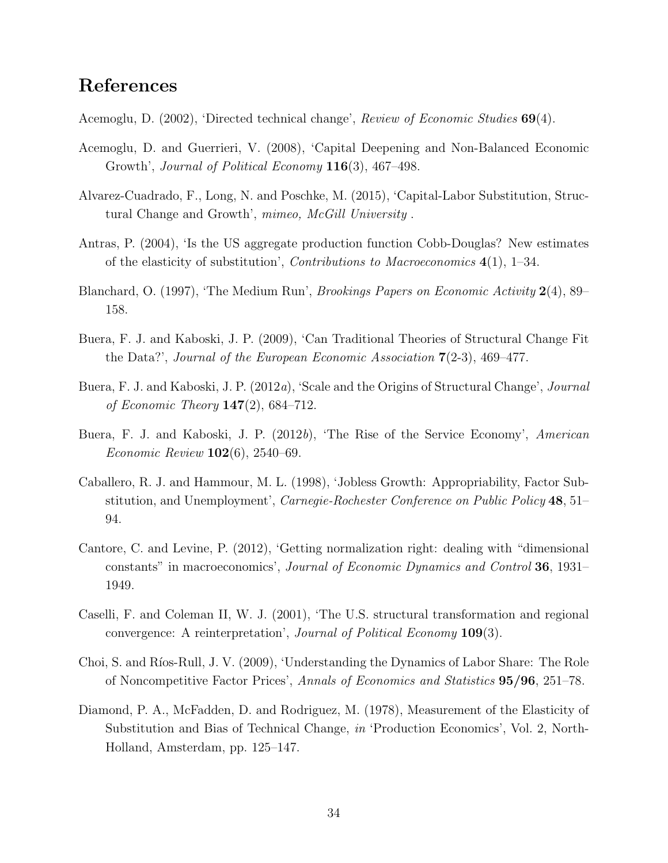# References

Acemoglu, D. (2002), 'Directed technical change', Review of Economic Studies 69(4).

- Acemoglu, D. and Guerrieri, V. (2008), 'Capital Deepening and Non-Balanced Economic Growth', Journal of Political Economy 116(3), 467–498.
- Alvarez-Cuadrado, F., Long, N. and Poschke, M. (2015), 'Capital-Labor Substitution, Structural Change and Growth', mimeo, McGill University .
- Antras, P. (2004), 'Is the US aggregate production function Cobb-Douglas? New estimates of the elasticity of substitution', *Contributions to Macroeconomics*  $4(1)$ , 1–34.
- Blanchard, O. (1997), 'The Medium Run', *Brookings Papers on Economic Activity* 2(4), 89– 158.
- Buera, F. J. and Kaboski, J. P. (2009), 'Can Traditional Theories of Structural Change Fit the Data?', Journal of the European Economic Association 7(2-3), 469–477.
- Buera, F. J. and Kaboski, J. P. (2012a), 'Scale and the Origins of Structural Change', Journal of Economic Theory  $147(2)$ , 684-712.
- Buera, F. J. and Kaboski, J. P. (2012b), 'The Rise of the Service Economy', American Economic Review 102(6), 2540–69.
- Caballero, R. J. and Hammour, M. L. (1998), 'Jobless Growth: Appropriability, Factor Substitution, and Unemployment', *Carnegie-Rochester Conference on Public Policy* 48, 51– 94.
- Cantore, C. and Levine, P. (2012), 'Getting normalization right: dealing with "dimensional constants" in macroeconomics', Journal of Economic Dynamics and Control 36, 1931– 1949.
- Caselli, F. and Coleman II, W. J. (2001), 'The U.S. structural transformation and regional convergence: A reinterpretation', Journal of Political Economy 109(3).
- Choi, S. and Ríos-Rull, J. V. (2009), 'Understanding the Dynamics of Labor Share: The Role of Noncompetitive Factor Prices', Annals of Economics and Statistics 95/96, 251–78.
- Diamond, P. A., McFadden, D. and Rodriguez, M. (1978), Measurement of the Elasticity of Substitution and Bias of Technical Change, in 'Production Economics', Vol. 2, North-Holland, Amsterdam, pp. 125–147.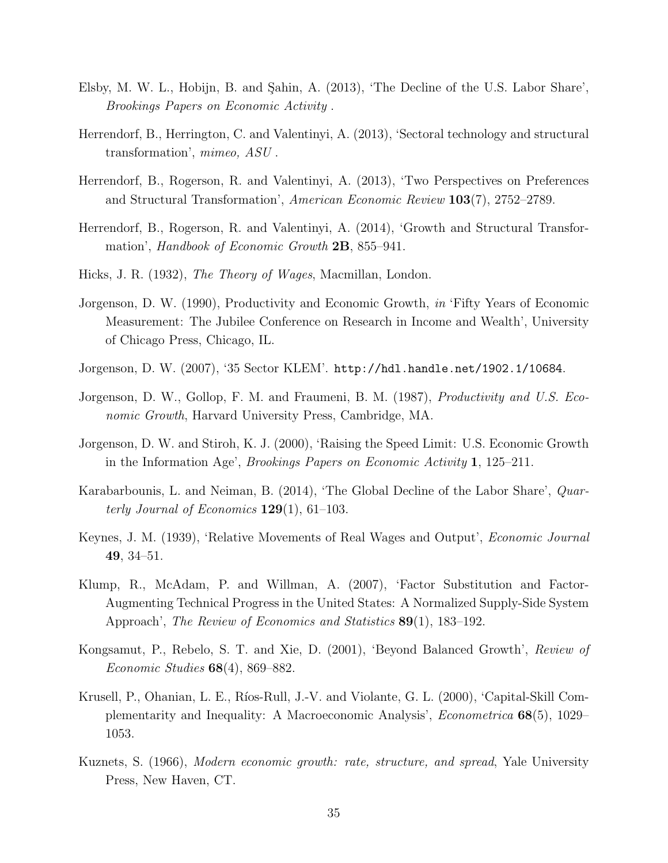- Elsby, M. W. L., Hobijn, B. and Sahin, A. (2013), 'The Decline of the U.S. Labor Share', Brookings Papers on Economic Activity .
- Herrendorf, B., Herrington, C. and Valentinyi, A. (2013), 'Sectoral technology and structural transformation', mimeo, ASU .
- Herrendorf, B., Rogerson, R. and Valentinyi, A. (2013), 'Two Perspectives on Preferences and Structural Transformation', American Economic Review 103(7), 2752–2789.
- Herrendorf, B., Rogerson, R. and Valentinyi, A. (2014), 'Growth and Structural Transformation', Handbook of Economic Growth 2B, 855–941.
- Hicks, J. R. (1932), The Theory of Wages, Macmillan, London.
- Jorgenson, D. W. (1990), Productivity and Economic Growth, in 'Fifty Years of Economic Measurement: The Jubilee Conference on Research in Income and Wealth', University of Chicago Press, Chicago, IL.
- Jorgenson, D. W. (2007), '35 Sector KLEM'. http://hdl.handle.net/1902.1/10684.
- Jorgenson, D. W., Gollop, F. M. and Fraumeni, B. M. (1987), Productivity and U.S. Economic Growth, Harvard University Press, Cambridge, MA.
- Jorgenson, D. W. and Stiroh, K. J. (2000), 'Raising the Speed Limit: U.S. Economic Growth in the Information Age', Brookings Papers on Economic Activity 1, 125–211.
- Karabarbounis, L. and Neiman, B. (2014), 'The Global Decline of the Labor Share', Quarterly Journal of Economics  $129(1)$ , 61–103.
- Keynes, J. M. (1939), 'Relative Movements of Real Wages and Output', Economic Journal 49, 34–51.
- Klump, R., McAdam, P. and Willman, A. (2007), 'Factor Substitution and Factor-Augmenting Technical Progress in the United States: A Normalized Supply-Side System Approach', *The Review of Economics and Statistics* **89**(1), 183–192.
- Kongsamut, P., Rebelo, S. T. and Xie, D. (2001), 'Beyond Balanced Growth', Review of *Economic Studies*  $68(4)$ ,  $869-882$ .
- Krusell, P., Ohanian, L. E., Ríos-Rull, J.-V. and Violante, G. L. (2000), 'Capital-Skill Complementarity and Inequality: A Macroeconomic Analysis', Econometrica 68(5), 1029– 1053.
- Kuznets, S. (1966), Modern economic growth: rate, structure, and spread, Yale University Press, New Haven, CT.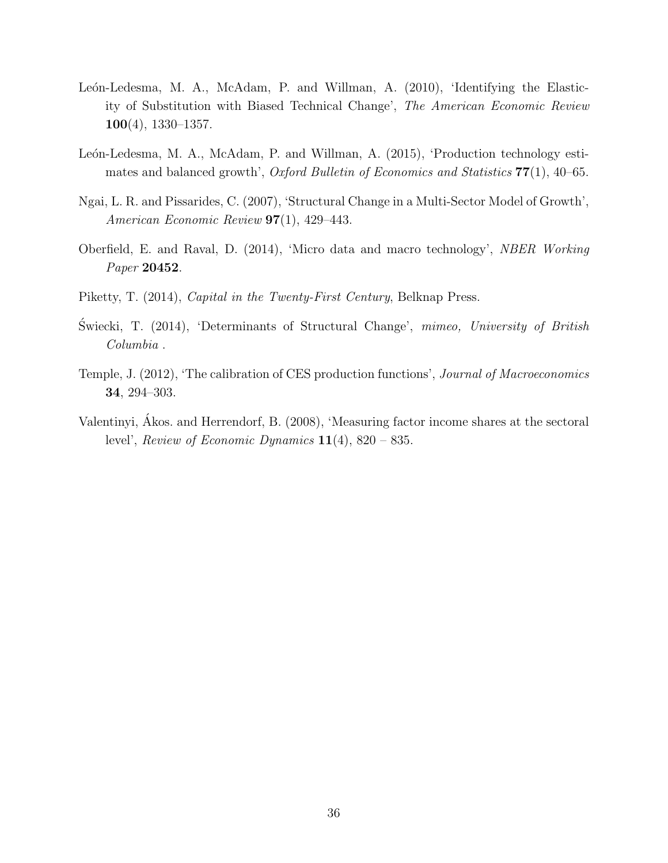- León-Ledesma, M. A., McAdam, P. and Willman, A. (2010), 'Identifying the Elasticity of Substitution with Biased Technical Change', The American Economic Review 100(4), 1330–1357.
- León-Ledesma, M. A., McAdam, P. and Willman, A. (2015), 'Production technology estimates and balanced growth', Oxford Bulletin of Economics and Statistics  $77(1)$ , 40–65.
- Ngai, L. R. and Pissarides, C. (2007), 'Structural Change in a Multi-Sector Model of Growth', American Economic Review 97(1), 429–443.
- Oberfield, E. and Raval, D. (2014), 'Micro data and macro technology', NBER Working Paper 20452.
- Piketty, T. (2014), Capital in the Twenty-First Century, Belknap Press.
- Swiecki, T. (2014), 'Determinants of Structural Change', mimeo, University of British Columbia .
- Temple, J. (2012), 'The calibration of CES production functions', Journal of Macroeconomics 34, 294–303.
- Valentinyi, Akos. and Herrendorf, B. (2008), 'Measuring factor income shares at the sectoral ´ level', Review of Economic Dynamics  $11(4)$ , 820 – 835.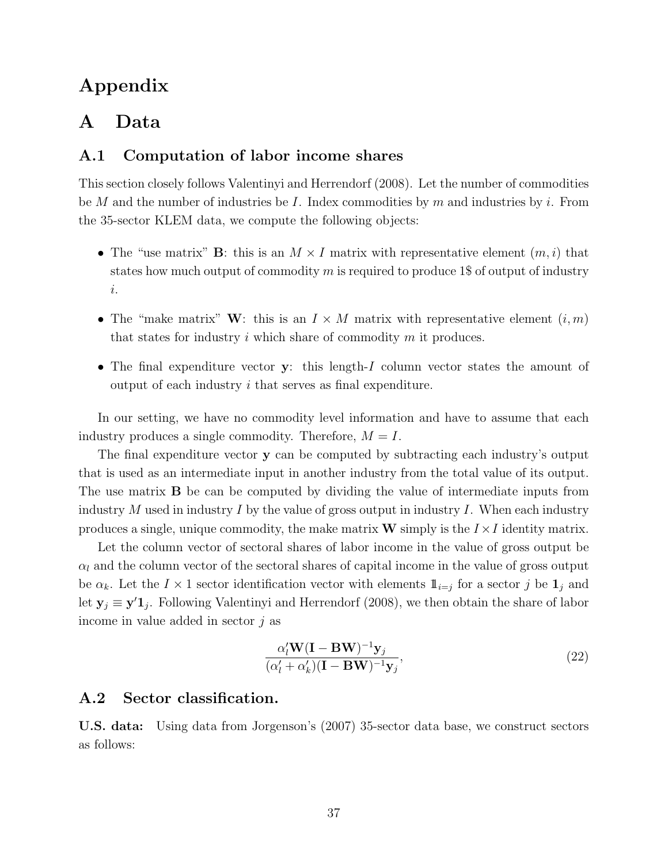# Appendix

# A Data

## A.1 Computation of labor income shares

This section closely follows Valentinyi and Herrendorf (2008). Let the number of commodities be M and the number of industries be I. Index commodities by m and industries by i. From the 35-sector KLEM data, we compute the following objects:

- The "use matrix" **B**: this is an  $M \times I$  matrix with representative element  $(m, i)$  that states how much output of commodity  $m$  is required to produce 1\$ of output of industry i.
- The "make matrix" W: this is an  $I \times M$  matrix with representative element  $(i, m)$ that states for industry  $i$  which share of commodity  $m$  it produces.
- The final expenditure vector y: this length-I column vector states the amount of output of each industry i that serves as final expenditure.

In our setting, we have no commodity level information and have to assume that each industry produces a single commodity. Therefore,  $M = I$ .

The final expenditure vector y can be computed by subtracting each industry's output that is used as an intermediate input in another industry from the total value of its output. The use matrix B be can be computed by dividing the value of intermediate inputs from industry  $M$  used in industry  $I$  by the value of gross output in industry  $I$ . When each industry produces a single, unique commodity, the make matrix **W** simply is the  $I \times I$  identity matrix.

Let the column vector of sectoral shares of labor income in the value of gross output be  $\alpha_l$  and the column vector of the sectoral shares of capital income in the value of gross output be  $\alpha_k$ . Let the  $I \times 1$  sector identification vector with elements  $\mathbb{1}_{i=j}$  for a sector j be  $\mathbb{1}_j$  and let  $y_j \equiv y'1_j$ . Following Valentinyi and Herrendorf (2008), we then obtain the share of labor income in value added in sector  $i$  as

$$
\frac{\alpha'_l \mathbf{W} (\mathbf{I} - \mathbf{B} \mathbf{W})^{-1} \mathbf{y}_j}{(\alpha'_l + \alpha'_k)(\mathbf{I} - \mathbf{B} \mathbf{W})^{-1} \mathbf{y}_j},\tag{22}
$$

## A.2 Sector classification.

U.S. data: Using data from Jorgenson's (2007) 35-sector data base, we construct sectors as follows: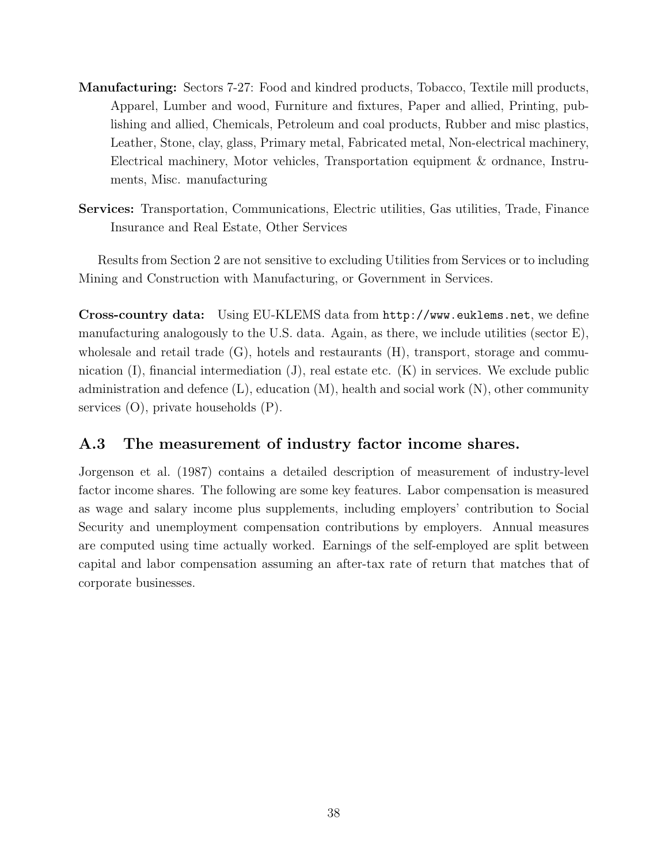- Manufacturing: Sectors 7-27: Food and kindred products, Tobacco, Textile mill products, Apparel, Lumber and wood, Furniture and fixtures, Paper and allied, Printing, publishing and allied, Chemicals, Petroleum and coal products, Rubber and misc plastics, Leather, Stone, clay, glass, Primary metal, Fabricated metal, Non-electrical machinery, Electrical machinery, Motor vehicles, Transportation equipment & ordnance, Instruments, Misc. manufacturing
- Services: Transportation, Communications, Electric utilities, Gas utilities, Trade, Finance Insurance and Real Estate, Other Services

Results from Section 2 are not sensitive to excluding Utilities from Services or to including Mining and Construction with Manufacturing, or Government in Services.

Cross-country data: Using EU-KLEMS data from http://www.euklems.net, we define manufacturing analogously to the U.S. data. Again, as there, we include utilities (sector E), wholesale and retail trade  $(G)$ , hotels and restaurants  $(H)$ , transport, storage and communication  $(I)$ , financial intermediation  $(J)$ , real estate etc.  $(K)$  in services. We exclude public administration and defence  $(L)$ , education  $(M)$ , health and social work  $(N)$ , other community services (O), private households (P).

## A.3 The measurement of industry factor income shares.

Jorgenson et al. (1987) contains a detailed description of measurement of industry-level factor income shares. The following are some key features. Labor compensation is measured as wage and salary income plus supplements, including employers' contribution to Social Security and unemployment compensation contributions by employers. Annual measures are computed using time actually worked. Earnings of the self-employed are split between capital and labor compensation assuming an after-tax rate of return that matches that of corporate businesses.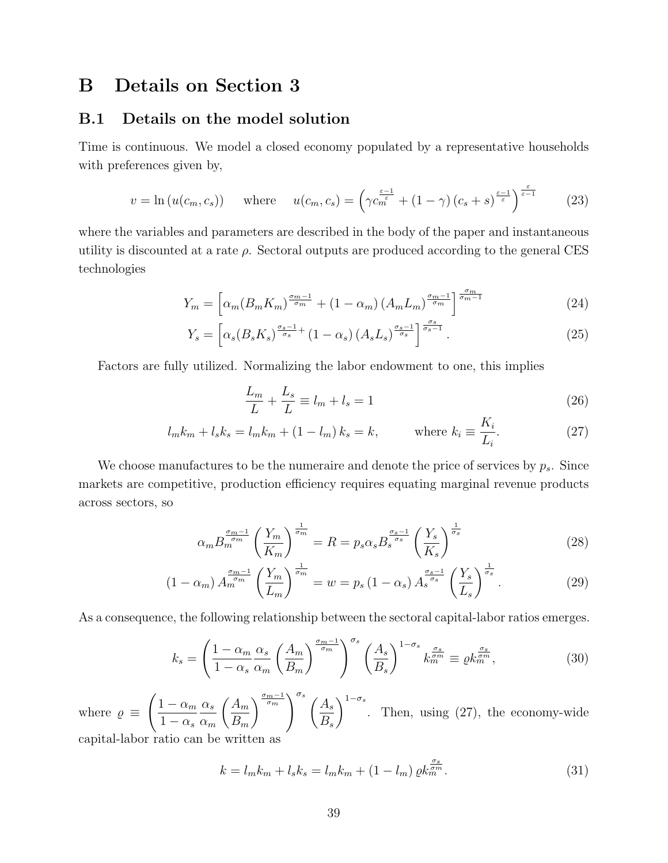## B Details on Section 3

## B.1 Details on the model solution

Time is continuous. We model a closed economy populated by a representative households with preferences given by,

$$
v = \ln(u(c_m, c_s)) \quad \text{where} \quad u(c_m, c_s) = \left(\gamma c_m^{\frac{\varepsilon - 1}{\varepsilon}} + (1 - \gamma) (c_s + s)^{\frac{\varepsilon - 1}{\varepsilon}}\right)^{\frac{\varepsilon}{\varepsilon - 1}} \tag{23}
$$

where the variables and parameters are described in the body of the paper and instantaneous utility is discounted at a rate  $\rho$ . Sectoral outputs are produced according to the general CES technologies

$$
Y_m = \left[ \alpha_m (B_m K_m)^{\frac{\sigma_m - 1}{\sigma_m}} + (1 - \alpha_m) (A_m L_m)^{\frac{\sigma_m - 1}{\sigma_m}} \right]^{\frac{\sigma_m}{\sigma_m - 1}} \tag{24}
$$

$$
Y_s = \left[ \alpha_s (B_s K_s)^{\frac{\sigma_s - 1}{\sigma_s}} + (1 - \alpha_s) (A_s L_s)^{\frac{\sigma_s - 1}{\sigma_s}} \right]^{\frac{\sigma_s}{\sigma_s - 1}}.
$$
\n(25)

Factors are fully utilized. Normalizing the labor endowment to one, this implies

$$
\frac{L_m}{L} + \frac{L_s}{L} \equiv l_m + l_s = 1\tag{26}
$$

$$
l_{m}k_{m} + l_{s}k_{s} = l_{m}k_{m} + (1 - l_{m})k_{s} = k, \qquad \text{where } k_{i} \equiv \frac{K_{i}}{L_{i}}.
$$
 (27)

We choose manufactures to be the numeraire and denote the price of services by  $p_s$ . Since markets are competitive, production efficiency requires equating marginal revenue products across sectors, so

$$
\alpha_m B_m^{\frac{\sigma_m - 1}{\sigma_m}} \left( \frac{Y_m}{K_m} \right)^{\frac{1}{\sigma_m}} = R = p_s \alpha_s B_s^{\frac{\sigma_s - 1}{\sigma_s}} \left( \frac{Y_s}{K_s} \right)^{\frac{1}{\sigma_s}} \tag{28}
$$

$$
(1 - \alpha_m) A_m^{\frac{\sigma_m - 1}{\sigma_m}} \left(\frac{Y_m}{L_m}\right)^{\frac{1}{\sigma_m}} = w = p_s (1 - \alpha_s) A_s^{\frac{\sigma_s - 1}{\sigma_s}} \left(\frac{Y_s}{L_s}\right)^{\frac{1}{\sigma_s}}.
$$
 (29)

As a consequence, the following relationship between the sectoral capital-labor ratios emerges.

$$
k_s = \left(\frac{1-\alpha_m}{1-\alpha_s} \frac{\alpha_s}{\alpha_m} \left(\frac{A_m}{B_m}\right)^{\frac{\sigma_m-1}{\sigma_m}}\right)^{\sigma_s} \left(\frac{A_s}{B_s}\right)^{1-\sigma_s} k_m^{\frac{\sigma_s}{\sigma_m}} \equiv \varrho k_m^{\frac{\sigma_s}{\sigma_m}},\tag{30}
$$

where  $\rho \equiv$  $\sqrt{1-\alpha_m}$  $1 - \alpha_s$  $\alpha_s$  $\alpha_m$  $\bigwedge A_m$  $B_m$  $\left\langle \frac{\sigma_m-1}{\sigma_m} \right\rangle^{\sigma_s}$   $\left(A_s\right)$  $B_s$  $\setminus^{1-\sigma_s}$ . Then, using (27), the economy-wide capital-labor ratio can be written as

> $k = l_m k_m + l_s k_s = l_m k_m + \left(1 - l_m\right) \varrho k_m^{\frac{\sigma_s}{\sigma_m}}$  $(31)$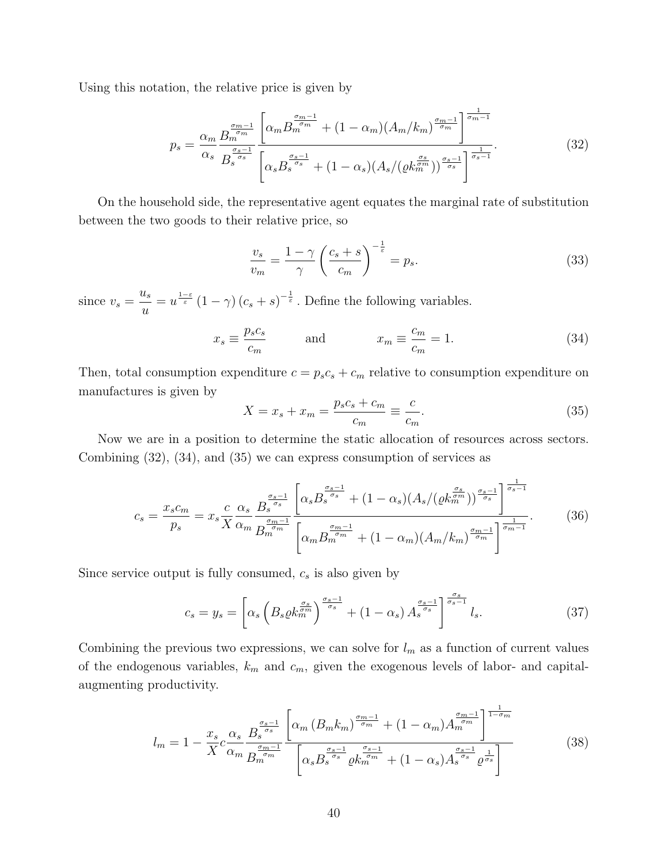Using this notation, the relative price is given by

$$
p_s = \frac{\alpha_m}{\alpha_s} \frac{B_m^{\frac{\sigma_m - 1}{\sigma_m}}}{B_s^{\frac{\sigma_{s-1}}{\sigma_s}}} \left[ \frac{\alpha_m B_m^{\frac{\sigma_m - 1}{\sigma_m}} + (1 - \alpha_m)(A_m/k_m)^{\frac{\sigma_m - 1}{\sigma_m}}}{\left[ \alpha_s B_s^{\frac{\sigma_s - 1}{\sigma_s}} + (1 - \alpha_s)(A_s/(\varrho k_m^{\frac{\sigma_s}{\sigma_m}}))^{\frac{\sigma_s - 1}{\sigma_s}} \right]^{\frac{1}{\sigma_s - 1}}} \right].
$$
\n(32)

On the household side, the representative agent equates the marginal rate of substitution between the two goods to their relative price, so

$$
\frac{v_s}{v_m} = \frac{1 - \gamma}{\gamma} \left(\frac{c_s + s}{c_m}\right)^{-\frac{1}{\varepsilon}} = p_s.
$$
\n(33)

since  $v_s =$  $u_s$ u  $=u^{\frac{1-\varepsilon}{\varepsilon}}(1-\gamma)(c_s+s)^{-\frac{1}{\varepsilon}}$ . Define the following variables.

$$
x_s \equiv \frac{p_s c_s}{c_m} \qquad \text{and} \qquad x_m \equiv \frac{c_m}{c_m} = 1. \tag{34}
$$

Then, total consumption expenditure  $c = p_s c_s + c_m$  relative to consumption expenditure on manufactures is given by

$$
X = x_s + x_m = \frac{p_s c_s + c_m}{c_m} \equiv \frac{c}{c_m}.
$$
\n(35)

Now we are in a position to determine the static allocation of resources across sectors. Combining (32), (34), and (35) we can express consumption of services as

$$
c_s = \frac{x_s c_m}{p_s} = x_s \frac{c}{X} \frac{\alpha_s}{\alpha_m} \frac{B_s^{\frac{\sigma_s - 1}{\sigma_s}}}{B_m^{\frac{\sigma_m - 1}{\sigma_m}}} \frac{\left[ \alpha_s B_s^{\frac{\sigma_s - 1}{\sigma_s}} + (1 - \alpha_s)(A_s / (\varrho k_m^{\frac{\sigma_s}{\sigma_m}}))^{\frac{\sigma_s - 1}{\sigma_s}} \right]^{\frac{1}{\sigma_s - 1}}}{\left[ \alpha_m B_m^{\frac{\sigma_m - 1}{\sigma_m}} + (1 - \alpha_m)(A_m / k_m)^{\frac{\sigma_m - 1}{\sigma_m}} \right]^{\frac{1}{\sigma_m - 1}}}.
$$
(36)

Since service output is fully consumed,  $c_s$  is also given by

$$
c_s = y_s = \left[ \alpha_s \left( B_s \varrho k_m^{\frac{\sigma_s}{\sigma_m}} \right)^{\frac{\sigma_s - 1}{\sigma_s}} + (1 - \alpha_s) A_s^{\frac{\sigma_s - 1}{\sigma_s}} \right]^{\frac{\sigma_s}{\sigma_s - 1}} l_s. \tag{37}
$$

Combining the previous two expressions, we can solve for  $l_m$  as a function of current values of the endogenous variables,  $k_m$  and  $c_m$ , given the exogenous levels of labor- and capitalaugmenting productivity.

$$
l_m = 1 - \frac{x_s}{X} c \frac{\alpha_s}{\alpha_m} \frac{B_s^{\frac{\sigma_s - 1}{\sigma_s}}}{B_m^{\frac{\sigma_{m-1}}{\sigma_m}}} \frac{\left[ \alpha_m \left( B_m k_m \right)^{\frac{\sigma_m - 1}{\sigma_m}} + (1 - \alpha_m) A_m^{\frac{\sigma_m - 1}{\sigma_m}} \right]^{\frac{1}{1 - \sigma_m}}}{\left[ \alpha_s B_s^{\frac{\sigma_s - 1}{\sigma_s}} \varrho k_m^{\frac{\sigma_s - 1}{\sigma_m}} + (1 - \alpha_s) A_s^{\frac{\sigma_s - 1}{\sigma_s}} \varrho^{\frac{1}{\sigma_s}} \right]}
$$
(38)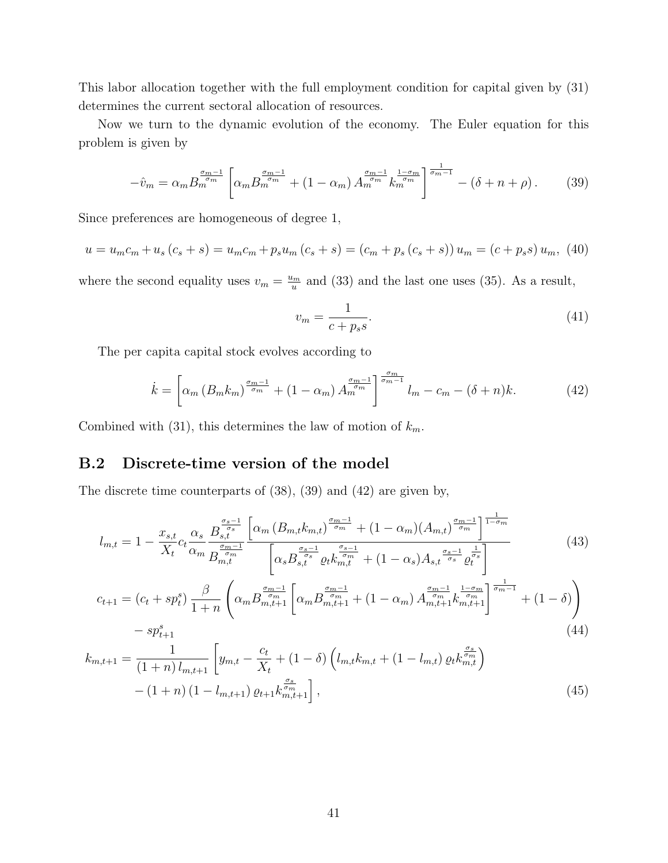This labor allocation together with the full employment condition for capital given by (31) determines the current sectoral allocation of resources.

Now we turn to the dynamic evolution of the economy. The Euler equation for this problem is given by

$$
-\hat{v}_m = \alpha_m B_m^{\frac{\sigma_m - 1}{\sigma_m}} \left[ \alpha_m B_m^{\frac{\sigma_m - 1}{\sigma_m}} + (1 - \alpha_m) A_m^{\frac{\sigma_m - 1}{\sigma_m}} k_m^{\frac{1 - \sigma_m}{\sigma_m}} \right]^{\frac{1}{\sigma_m - 1}} - (\delta + n + \rho). \tag{39}
$$

Since preferences are homogeneous of degree 1,

$$
u = u_m c_m + u_s (c_s + s) = u_m c_m + p_s u_m (c_s + s) = (c_m + p_s (c_s + s)) u_m = (c + p_s s) u_m, (40)
$$

where the second equality uses  $v_m = \frac{u_m}{u_m}$  $\frac{u_m}{u}$  and (33) and the last one uses (35). As a result,

$$
v_m = \frac{1}{c + p_s s}.\tag{41}
$$

The per capita capital stock evolves according to

$$
\dot{k} = \left[ \alpha_m \left( B_m k_m \right)^{\frac{\sigma_m - 1}{\sigma_m}} + \left( 1 - \alpha_m \right) A_m^{\frac{\sigma_m - 1}{\sigma_m}} \right]_{m}^{\frac{\sigma_m}{\sigma_m - 1}} l_m - c_m - (\delta + n)k. \tag{42}
$$

Combined with (31), this determines the law of motion of  $k_m$ .

## B.2 Discrete-time version of the model

The discrete time counterparts of (38), (39) and (42) are given by,

$$
l_{m,t} = 1 - \frac{x_{s,t}}{X_t} c_t \frac{\alpha_s}{\alpha_m} \frac{B_{s,t}^{\frac{\sigma_s - 1}{\sigma_s}}}{B_{m,t}^{\frac{\sigma_m - 1}{\sigma_m}}} \frac{\left[ \alpha_m \left( B_{m,t} k_{m,t} \right)^{\frac{\sigma_m - 1}{\sigma_m}} + (1 - \alpha_m) \left( A_{m,t} \right)^{\frac{\sigma_m - 1}{\sigma_m}} \right]^{\frac{1}{1 - \sigma_m}}}{\left[ \alpha_s B_{s,t}^{\frac{\sigma_s - 1}{\sigma_s}} \varrho_t k_{m,t}^{\frac{\sigma_s - 1}{\sigma_m}} + (1 - \alpha_s) A_{s,t}^{\frac{\sigma_s - 1}{\sigma_s}} \varrho_t^{\frac{1}{\sigma_s}} \right]}
$$
(43)

$$
c_{t+1} = (c_t + sp_t^s) \frac{\beta}{1+n} \left( \alpha_m B_{m,t+1}^{\frac{\sigma_m-1}{\sigma_m}} \left[ \alpha_m B_{m,t+1}^{\frac{\sigma_m-1}{\sigma_m}} + (1 - \alpha_m) A_{m,t+1}^{\frac{\sigma_m-1}{\sigma_m}} k_{m,t+1}^{\frac{1 - \sigma_m}{\sigma_m}} \right]_{\sigma_m-1}^{\frac{1}{\sigma_m-1}} + (1 - \delta) \right)
$$
  
- sp\_{t+1}^s (44)

$$
k_{m,t+1} = \frac{1}{(1+n) l_{m,t+1}} \left[ y_{m,t} - \frac{c_t}{X_t} + (1-\delta) \left( l_{m,t} k_{m,t} + (1-l_{m,t}) \varrho_t k_{m,t}^{\frac{\sigma_s}{\sigma_m}} \right) - (1+n) (1 - l_{m,t+1}) \varrho_{t+1} k_{m,t+1}^{\frac{\sigma_s}{\sigma_m}} \right],
$$
\n(45)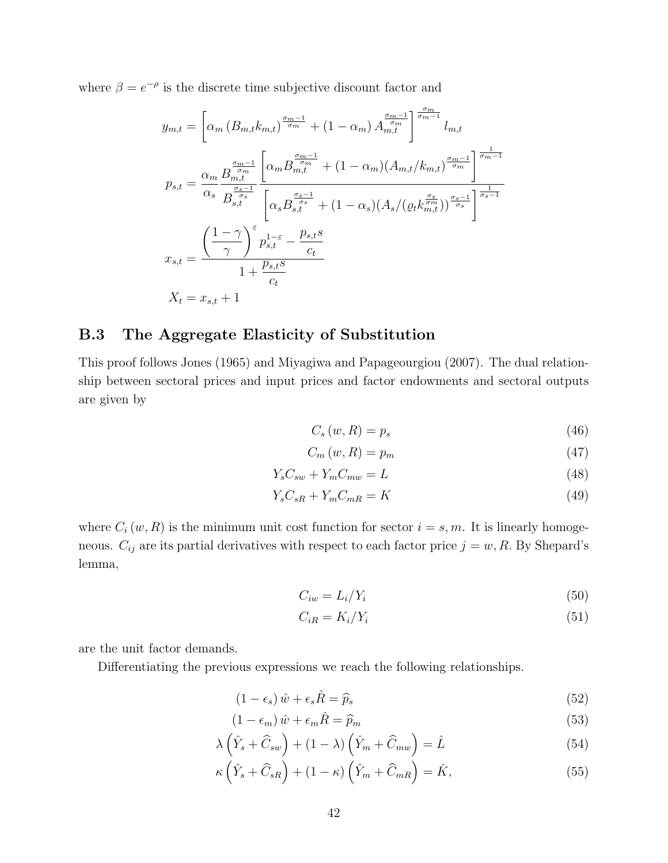where  $\beta = e^{-\rho}$  is the discrete time subjective discount factor and

$$
y_{m,t} = \left[\alpha_m (B_{m,t} k_{m,t})^{\frac{\sigma_{m-1}}{\sigma_m}} + (1 - \alpha_m) A_{m,t}^{\frac{\sigma_{m-1}}{\sigma_m}} \right]_{m,t}^{\frac{\sigma_{m}}{\sigma_{m-1}}} l_{m,t}
$$
  
\n
$$
p_{s,t} = \frac{\alpha_m}{\alpha_s} \frac{B_{m,t}^{\frac{\sigma_{m-1}}{\sigma_m}}}{B_{s,t}^{\frac{\sigma_{s-1}}{\sigma_s}}} \left[ \alpha_m B_{m,t}^{\frac{\sigma_{m-1}}{\sigma_m}} + (1 - \alpha_m) (A_{m,t}/k_{m,t})^{\frac{\sigma_{m-1}}{\sigma_m}} \right]^{\frac{1}{\sigma_{m-1}}}}
$$
  
\n
$$
x_{s,t} = \frac{\left(\frac{1-\gamma}{\gamma}\right)^{\varepsilon} p_{s,t}^{1-\varepsilon} - \frac{p_{s,t}s}{c_t}}{1 + \frac{p_{s,t}s}{c_t}}
$$
  
\n
$$
X_t = x_{s,t} + 1
$$

## B.3 The Aggregate Elasticity of Substitution

This proof follows Jones (1965) and Miyagiwa and Papageourgiou (2007). The dual relationship between sectoral prices and input prices and factor endowments and sectoral outputs are given by

$$
C_s(w, R) = p_s \tag{46}
$$

$$
C_m(w, R) = p_m \tag{47}
$$

$$
Y_s C_{sw} + Y_m C_{mw} = L \tag{48}
$$

$$
Y_s C_{sR} + Y_m C_{mR} = K \tag{49}
$$

where  $C_i(w, R)$  is the minimum unit cost function for sector  $i = s, m$ . It is linearly homogeneous.  $C_{ij}$  are its partial derivatives with respect to each factor price  $j = w, R$ . By Shepard's lemma,

$$
C_{iw} = L_i/Y_i \tag{50}
$$

$$
C_{iR} = K_i/Y_i \tag{51}
$$

are the unit factor demands.

Differentiating the previous expressions we reach the following relationships.

$$
(1 - \epsilon_s) \hat{w} + \epsilon_s \hat{R} = \hat{p}_s \tag{52}
$$

$$
(1 - \epsilon_m) \hat{w} + \epsilon_m \hat{R} = \hat{p}_m
$$
\n(53)

$$
\lambda \left( \hat{Y}_s + \hat{C}_{sw} \right) + (1 - \lambda) \left( \hat{Y}_m + \hat{C}_{mw} \right) = \hat{L}
$$
\n(54)

$$
\kappa \left( \hat{Y}_s + \hat{C}_{sR} \right) + (1 - \kappa) \left( \hat{Y}_m + \hat{C}_{mR} \right) = \hat{K},\tag{55}
$$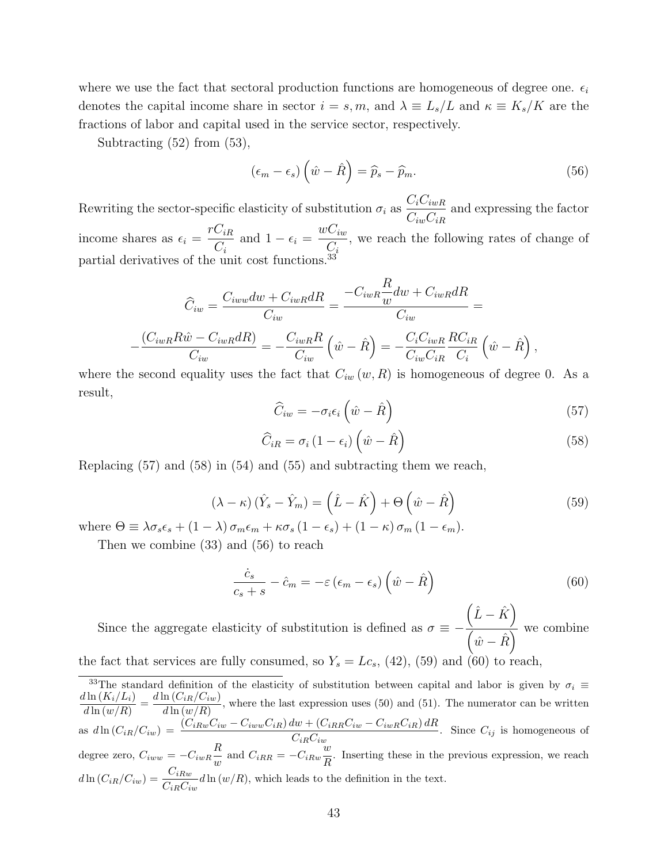where we use the fact that sectoral production functions are homogeneous of degree one.  $\epsilon_i$ denotes the capital income share in sector  $i = s, m$ , and  $\lambda \equiv L_s/L$  and  $\kappa \equiv K_s/K$  are the fractions of labor and capital used in the service sector, respectively.

Subtracting (52) from (53),

$$
(\epsilon_m - \epsilon_s) \left(\hat{w} - \hat{R}\right) = \hat{p}_s - \hat{p}_m. \tag{56}
$$

Rewriting the sector-specific elasticity of substitution  $\sigma_i$  as  $C_iC_{iwR}$  $C_{iw}C_{iR}$ and expressing the factor income shares as  $\epsilon_i =$  $rC_{iR}$  $C_i$ and  $1 - \epsilon_i = \frac{wC_{iw}}{G}$  $C_i$ , we reach the following rates of change of partial derivatives of the unit cost functions.<sup>33</sup>

$$
\widehat{C}_{iw} = \frac{C_{iww}dw + C_{iwR}dR}{C_{iw}} = \frac{-C_{iwR}\frac{R}{w}dw + C_{iwR}dR}{C_{iw}} =
$$

$$
-\frac{(C_{iwR}R\widehat{w} - C_{iwR}dR)}{C_{iw}} = -\frac{C_{iwR}R}{C_{iw}}\left(\widehat{w} - \widehat{R}\right) = -\frac{C_{i}C_{iwR}}{C_{iw}C_{iR}}\frac{RC_{iR}}{C_{i}}\left(\widehat{w} - \widehat{R}\right),
$$

where the second equality uses the fact that  $C_{iw}(w, R)$  is homogeneous of degree 0. As a result,

$$
\widehat{C}_{iw} = -\sigma_i \epsilon_i \left(\hat{w} - \hat{R}\right) \tag{57}
$$

$$
\widehat{C}_{iR} = \sigma_i (1 - \epsilon_i) \left( \hat{w} - \hat{R} \right)
$$
\n(58)

Replacing  $(57)$  and  $(58)$  in  $(54)$  and  $(55)$  and subtracting them we reach,

$$
(\lambda - \kappa) (\hat{Y}_s - \hat{Y}_m) = (\hat{L} - \hat{K}) + \Theta (\hat{w} - \hat{R})
$$
\n
$$
(59)
$$

where  $\Theta \equiv \lambda \sigma_s \epsilon_s + (1 - \lambda) \sigma_m \epsilon_m + \kappa \sigma_s (1 - \epsilon_s) + (1 - \kappa) \sigma_m (1 - \epsilon_m).$ 

Then we combine (33) and (56) to reach

$$
\frac{\dot{c}_s}{c_s + s} - \hat{c}_m = -\varepsilon \left( \epsilon_m - \epsilon_s \right) \left( \hat{w} - \hat{R} \right) \tag{60}
$$

Since the aggregate elasticity of substitution is defined as  $\sigma \equiv (\hat{L} - \hat{K})$  $\sqrt{\hat{w}-\hat{R}}$  we combine the fact that services are fully consumed, so  $Y_s = Lc_s$ , (42), (59) and (60) to reach,

<sup>33</sup>The standard definition of the elasticity of substitution between capital and labor is given by  $\sigma_i \equiv$  $d\ln(K_i/L_i)$  $\frac{d \ln \left( K_i/L_i \right)}{d \ln \left( w/R \right)} = \frac{d \ln \left( C_{iR}/C_{iw} \right)}{d \ln \left( w/R \right)}$  $\frac{d\ln(v_{th}/\sqrt{v_{tw}})}{d\ln(w/R)}$ , where the last expression uses (50) and (51). The numerator can be written as  $d\ln(C_{iR}/C_{iw}) = \frac{(C_{iRw}C_{iw} - C_{iww}C_{iR}) dw + (C_{iRR}C_{iw} - C_{iwR}C_{iR}) dR}{C_{iR}C_{iw}}$ . Since  $C_{ij}$  is homogeneous of degree zero,  $C_{iww} = -C_{iwR} \frac{R}{R}$  $\frac{R}{w}$  and  $C_{iRR} = -C_{iRw}\frac{w}{R}$  $\frac{\infty}{R}$ . Inserting these in the previous expression, we reach  $d\ln(C_{iR}/C_{iw}) = \frac{C_{iRw}}{C_{iR}C_{iw}}d\ln(w/R)$ , which leads to the definition in the text.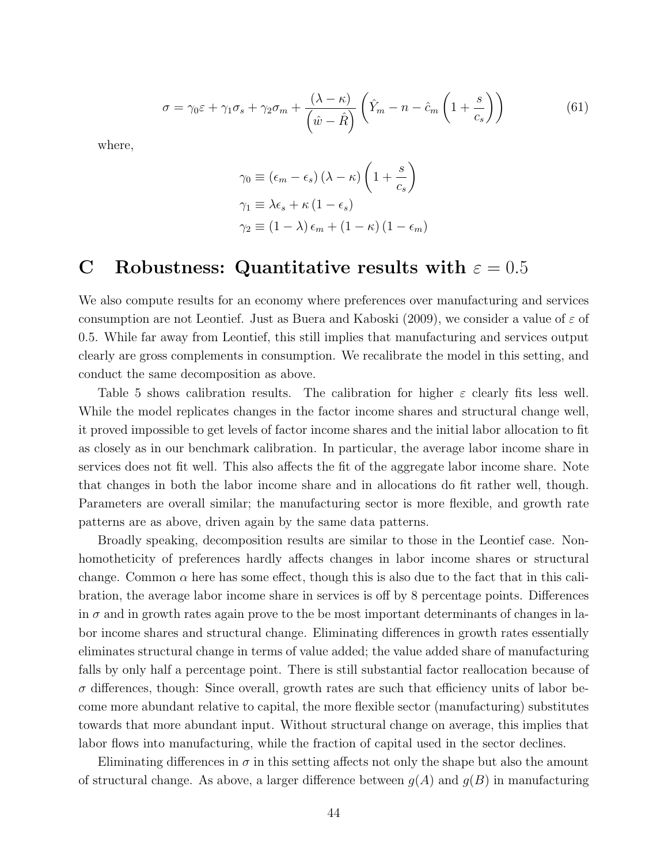$$
\sigma = \gamma_0 \varepsilon + \gamma_1 \sigma_s + \gamma_2 \sigma_m + \frac{(\lambda - \kappa)}{\left(\hat{w} - \hat{R}\right)} \left(\hat{Y}_m - n - \hat{c}_m \left(1 + \frac{s}{c_s}\right)\right) \tag{61}
$$

where,

$$
\gamma_0 \equiv (\epsilon_m - \epsilon_s) (\lambda - \kappa) \left( 1 + \frac{s}{c_s} \right)
$$
  

$$
\gamma_1 \equiv \lambda \epsilon_s + \kappa (1 - \epsilon_s)
$$
  

$$
\gamma_2 \equiv (1 - \lambda) \epsilon_m + (1 - \kappa) (1 - \epsilon_m)
$$

# C Robustness: Quantitative results with  $\varepsilon = 0.5$

We also compute results for an economy where preferences over manufacturing and services consumption are not Leontief. Just as Buera and Kaboski (2009), we consider a value of  $\varepsilon$  of 0.5. While far away from Leontief, this still implies that manufacturing and services output clearly are gross complements in consumption. We recalibrate the model in this setting, and conduct the same decomposition as above.

Table 5 shows calibration results. The calibration for higher  $\varepsilon$  clearly fits less well. While the model replicates changes in the factor income shares and structural change well, it proved impossible to get levels of factor income shares and the initial labor allocation to fit as closely as in our benchmark calibration. In particular, the average labor income share in services does not fit well. This also affects the fit of the aggregate labor income share. Note that changes in both the labor income share and in allocations do fit rather well, though. Parameters are overall similar; the manufacturing sector is more flexible, and growth rate patterns are as above, driven again by the same data patterns.

Broadly speaking, decomposition results are similar to those in the Leontief case. Nonhomotheticity of preferences hardly affects changes in labor income shares or structural change. Common  $\alpha$  here has some effect, though this is also due to the fact that in this calibration, the average labor income share in services is off by 8 percentage points. Differences in  $\sigma$  and in growth rates again prove to the be most important determinants of changes in labor income shares and structural change. Eliminating differences in growth rates essentially eliminates structural change in terms of value added; the value added share of manufacturing falls by only half a percentage point. There is still substantial factor reallocation because of  $\sigma$  differences, though: Since overall, growth rates are such that efficiency units of labor become more abundant relative to capital, the more flexible sector (manufacturing) substitutes towards that more abundant input. Without structural change on average, this implies that labor flows into manufacturing, while the fraction of capital used in the sector declines.

Eliminating differences in  $\sigma$  in this setting affects not only the shape but also the amount of structural change. As above, a larger difference between  $g(A)$  and  $g(B)$  in manufacturing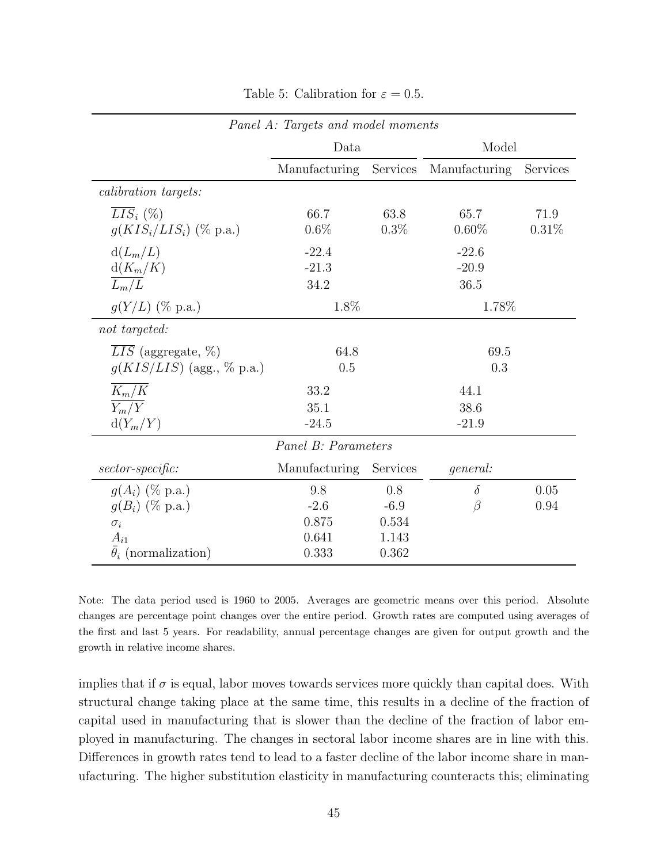| Panel A: Targets and model moments                  |                            |                 |                            |               |  |  |  |  |
|-----------------------------------------------------|----------------------------|-----------------|----------------------------|---------------|--|--|--|--|
|                                                     | Data                       |                 | Model                      |               |  |  |  |  |
|                                                     | Manufacturing              | Services        | Manufacturing              | Services      |  |  |  |  |
| <i>calibration targets:</i>                         |                            |                 |                            |               |  |  |  |  |
| $\overline{LIS}_i$ (%)<br>$g(KIS_i/LIS_i)$ (% p.a.) | 66.7<br>$0.6\%$            | 63.8<br>$0.3\%$ | 65.7<br>$0.60\%$           | 71.9<br>0.31% |  |  |  |  |
| $d(L_m/L)$<br>$d(K_m/K)$<br>$\overline{L_m/L}$      | $-22.4$<br>$-21.3$<br>34.2 |                 | $-22.6$<br>$-20.9$<br>36.5 |               |  |  |  |  |
| $g(Y/L)$ (% p.a.)                                   | 1.8%                       |                 | 1.78%                      |               |  |  |  |  |
| not targeted:                                       |                            |                 |                            |               |  |  |  |  |
| $\overline{LIS}$ (aggregate, %)                     | 64.8                       |                 | 69.5                       |               |  |  |  |  |
| $g(KIS/LIS)$ (agg., % p.a.)                         | 0.5                        |                 | 0.3                        |               |  |  |  |  |
| $K_m/K$                                             | 33.2                       |                 | 44.1                       |               |  |  |  |  |
| $\overline{Y_m/Y}$                                  | 35.1                       |                 | 38.6                       |               |  |  |  |  |
| $d(Y_m/Y)$                                          | $-24.5$                    |                 | $-21.9$                    |               |  |  |  |  |
|                                                     | Panel B: Parameters        |                 |                            |               |  |  |  |  |
| $sector-specific:$                                  | <b>Manufacturing</b>       | Services        | general:                   |               |  |  |  |  |
| $g(A_i)$ (% p.a.)                                   | 9.8                        | 0.8             | $\delta$                   | 0.05          |  |  |  |  |
| $q(B_i)$ (% p.a.)                                   | $-2.6$                     | $-6.9$          | $\beta$                    | 0.94          |  |  |  |  |
| $\sigma_i$                                          | 0.875                      | 0.534           |                            |               |  |  |  |  |
| $A_{i1}$                                            | 0.641                      | 1.143           |                            |               |  |  |  |  |
| $\bar{\theta}_i$ (normalization)                    | 0.333                      | 0.362           |                            |               |  |  |  |  |

Table 5: Calibration for  $\varepsilon = 0.5$ .

Note: The data period used is 1960 to 2005. Averages are geometric means over this period. Absolute changes are percentage point changes over the entire period. Growth rates are computed using averages of the first and last 5 years. For readability, annual percentage changes are given for output growth and the growth in relative income shares.

implies that if  $\sigma$  is equal, labor moves towards services more quickly than capital does. With structural change taking place at the same time, this results in a decline of the fraction of capital used in manufacturing that is slower than the decline of the fraction of labor employed in manufacturing. The changes in sectoral labor income shares are in line with this. Differences in growth rates tend to lead to a faster decline of the labor income share in manufacturing. The higher substitution elasticity in manufacturing counteracts this; eliminating